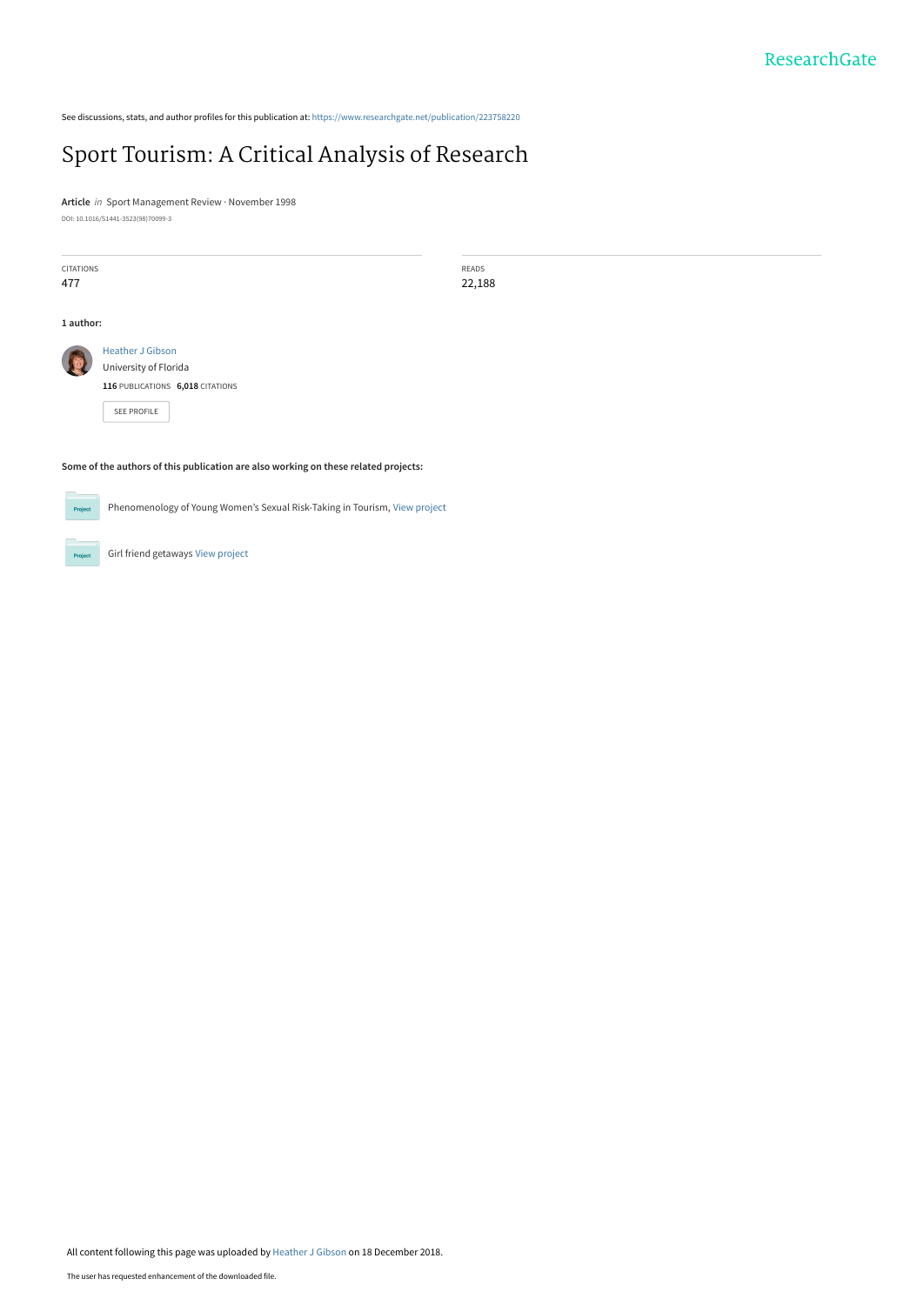See discussions, stats, and author profiles for this publication at: [https://www.researchgate.net/publication/223758220](https://www.researchgate.net/publication/223758220_Sport_Tourism_A_Critical_Analysis_of_Research?enrichId=rgreq-c0ac1c041bcd5fc736562f07c2d801d7-XXX&enrichSource=Y292ZXJQYWdlOzIyMzc1ODIyMDtBUzo3MDUyMzU2ODk0MDY0NzFAMTU0NTE1MjY5OTgxMA%3D%3D&el=1_x_2&_esc=publicationCoverPdf)

# [Sport Tourism: A Critical Analysis of Research](https://www.researchgate.net/publication/223758220_Sport_Tourism_A_Critical_Analysis_of_Research?enrichId=rgreq-c0ac1c041bcd5fc736562f07c2d801d7-XXX&enrichSource=Y292ZXJQYWdlOzIyMzc1ODIyMDtBUzo3MDUyMzU2ODk0MDY0NzFAMTU0NTE1MjY5OTgxMA%3D%3D&el=1_x_3&_esc=publicationCoverPdf)

**Article** in Sport Management Review · November 1998 DOI: 10.1016/S1441-3523(98)70099-3

| <b>CITATIONS</b>                                                                    | READS                            |
|-------------------------------------------------------------------------------------|----------------------------------|
| 477                                                                                 | 22,188                           |
|                                                                                     |                                  |
| 1 author:                                                                           |                                  |
|                                                                                     | <b>Heather J Gibson</b>          |
|                                                                                     | University of Florida            |
|                                                                                     | 116 PUBLICATIONS 6,018 CITATIONS |
|                                                                                     | <b>SEE PROFILE</b>               |
|                                                                                     |                                  |
| Some of the authors of this publication are also working on these related projects: |                                  |

Phenomenology of Young Women's Sexual Risk-Taking in Tourism, [View project](https://www.researchgate.net/project/Phenomenology-of-Young-Womens-Sexual-Risk-Taking-in-Tourism?enrichId=rgreq-c0ac1c041bcd5fc736562f07c2d801d7-XXX&enrichSource=Y292ZXJQYWdlOzIyMzc1ODIyMDtBUzo3MDUyMzU2ODk0MDY0NzFAMTU0NTE1MjY5OTgxMA%3D%3D&el=1_x_9&_esc=publicationCoverPdf)

Girl friend getaways [View project](https://www.researchgate.net/project/Girl-friend-getaways?enrichId=rgreq-c0ac1c041bcd5fc736562f07c2d801d7-XXX&enrichSource=Y292ZXJQYWdlOzIyMzc1ODIyMDtBUzo3MDUyMzU2ODk0MDY0NzFAMTU0NTE1MjY5OTgxMA%3D%3D&el=1_x_9&_esc=publicationCoverPdf) Project

Project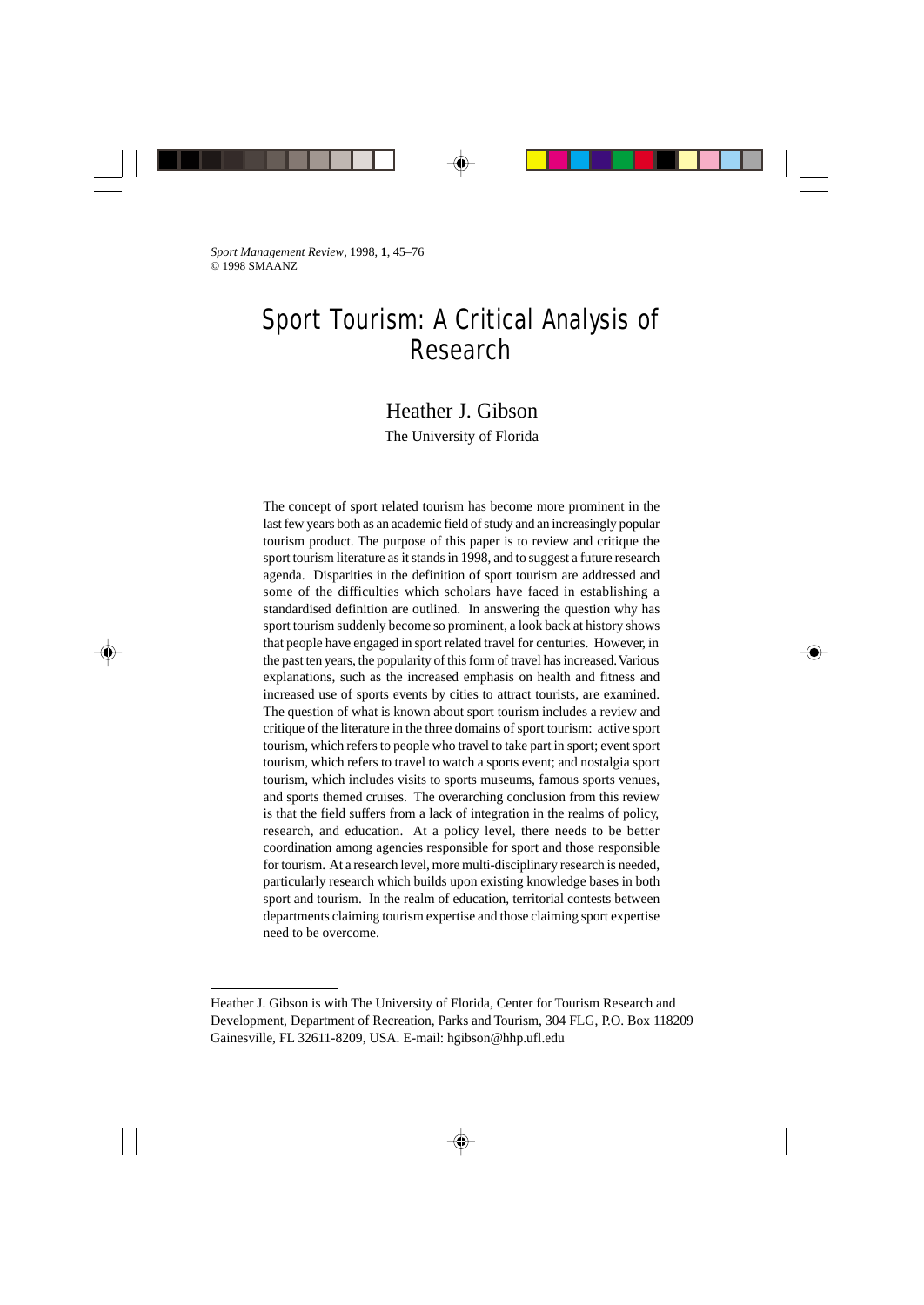# Sport Tourism: A Critical Analysis of Research

## Heather J. Gibson

The University of Florida

The concept of sport related tourism has become more prominent in the last few years both as an academic field of study and an increasingly popular tourism product. The purpose of this paper is to review and critique the sport tourism literature as it stands in 1998, and to suggest a future research agenda. Disparities in the definition of sport tourism are addressed and some of the difficulties which scholars have faced in establishing a standardised definition are outlined. In answering the question why has sport tourism suddenly become so prominent, a look back at history shows that people have engaged in sport related travel for centuries. However, in the past ten years, the popularity of this form of travel has increased. Various explanations, such as the increased emphasis on health and fitness and increased use of sports events by cities to attract tourists, are examined. The question of what is known about sport tourism includes a review and critique of the literature in the three domains of sport tourism: active sport tourism, which refers to people who travel to take part in sport; event sport tourism, which refers to travel to watch a sports event; and nostalgia sport tourism, which includes visits to sports museums, famous sports venues, and sports themed cruises. The overarching conclusion from this review is that the field suffers from a lack of integration in the realms of policy, research, and education. At a policy level, there needs to be better coordination among agencies responsible for sport and those responsible for tourism. At a research level, more multi-disciplinary research is needed, particularly research which builds upon existing knowledge bases in both sport and tourism. In the realm of education, territorial contests between departments claiming tourism expertise and those claiming sport expertise need to be overcome.

Heather J. Gibson is with The University of Florida, Center for Tourism Research and Development, Department of Recreation, Parks and Tourism, 304 FLG, P.O. Box 118209 Gainesville, FL 32611-8209, USA. E-mail: hgibson@hhp.ufl.edu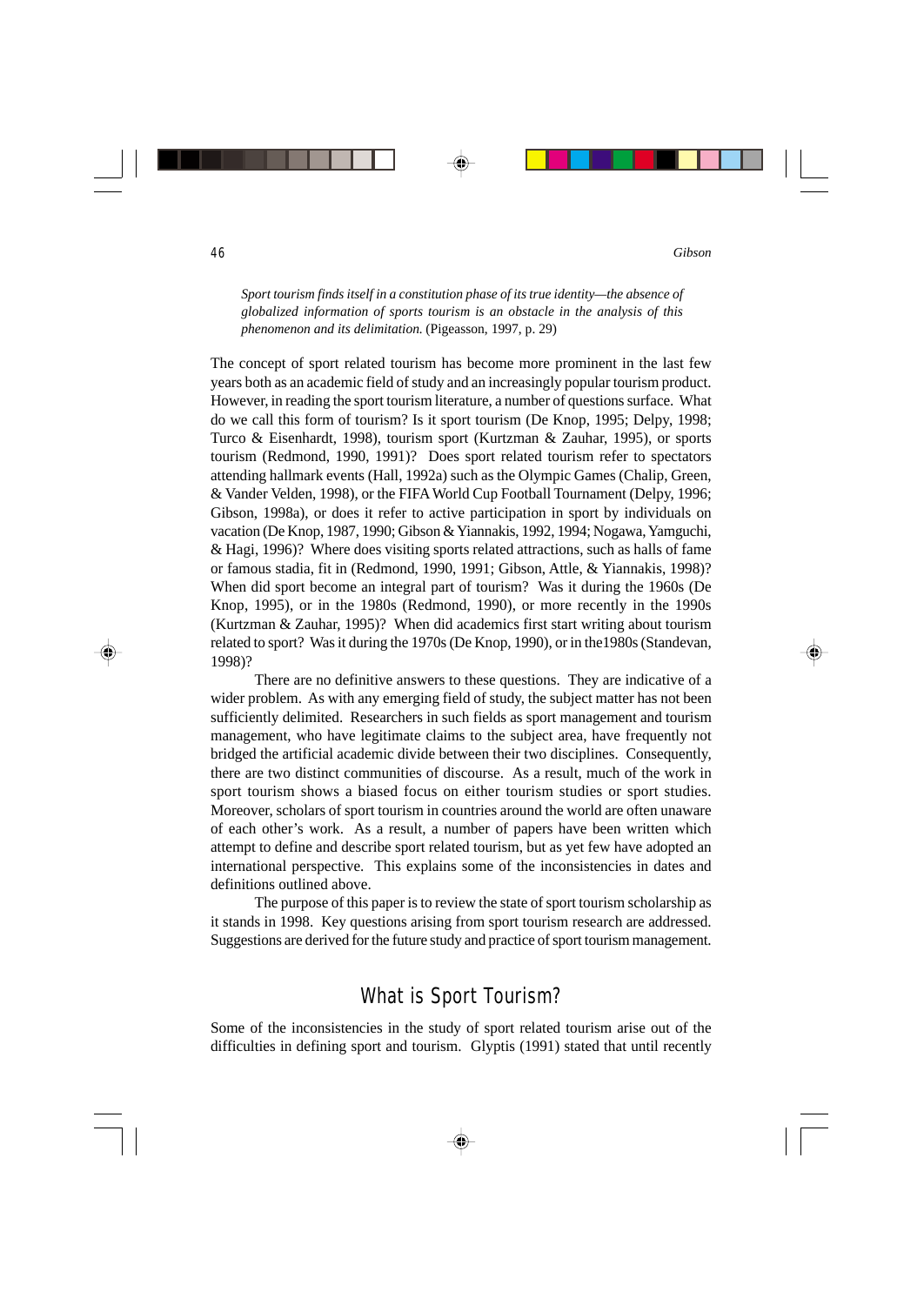*Sport tourism finds itself in a constitution phase of its true identity—the absence of globalized information of sports tourism is an obstacle in the analysis of this phenomenon and its delimitation.* (Pigeasson, 1997, p. 29)

The concept of sport related tourism has become more prominent in the last few years both as an academic field of study and an increasingly popular tourism product. However, in reading the sport tourism literature, a number of questions surface. What do we call this form of tourism? Is it sport tourism (De Knop, 1995; Delpy, 1998; Turco & Eisenhardt, 1998), tourism sport (Kurtzman & Zauhar, 1995), or sports tourism (Redmond, 1990, 1991)? Does sport related tourism refer to spectators attending hallmark events (Hall, 1992a) such as the Olympic Games (Chalip, Green, & Vander Velden, 1998), or the FIFA World Cup Football Tournament (Delpy, 1996; Gibson, 1998a), or does it refer to active participation in sport by individuals on vacation (De Knop, 1987, 1990; Gibson & Yiannakis, 1992, 1994; Nogawa, Yamguchi, & Hagi, 1996)? Where does visiting sports related attractions, such as halls of fame or famous stadia, fit in (Redmond, 1990, 1991; Gibson, Attle, & Yiannakis, 1998)? When did sport become an integral part of tourism? Was it during the 1960s (De Knop, 1995), or in the 1980s (Redmond, 1990), or more recently in the 1990s (Kurtzman & Zauhar, 1995)? When did academics first start writing about tourism related to sport? Was it during the 1970s (De Knop, 1990), or in the1980s (Standevan, 1998)?

There are no definitive answers to these questions. They are indicative of a wider problem. As with any emerging field of study, the subject matter has not been sufficiently delimited. Researchers in such fields as sport management and tourism management, who have legitimate claims to the subject area, have frequently not bridged the artificial academic divide between their two disciplines. Consequently, there are two distinct communities of discourse. As a result, much of the work in sport tourism shows a biased focus on either tourism studies or sport studies. Moreover, scholars of sport tourism in countries around the world are often unaware of each other's work. As a result, a number of papers have been written which attempt to define and describe sport related tourism, but as yet few have adopted an international perspective. This explains some of the inconsistencies in dates and definitions outlined above.

The purpose of this paper is to review the state of sport tourism scholarship as it stands in 1998. Key questions arising from sport tourism research are addressed. Suggestions are derived for the future study and practice of sport tourism management.

## What is Sport Tourism?

Some of the inconsistencies in the study of sport related tourism arise out of the difficulties in defining sport and tourism. Glyptis (1991) stated that until recently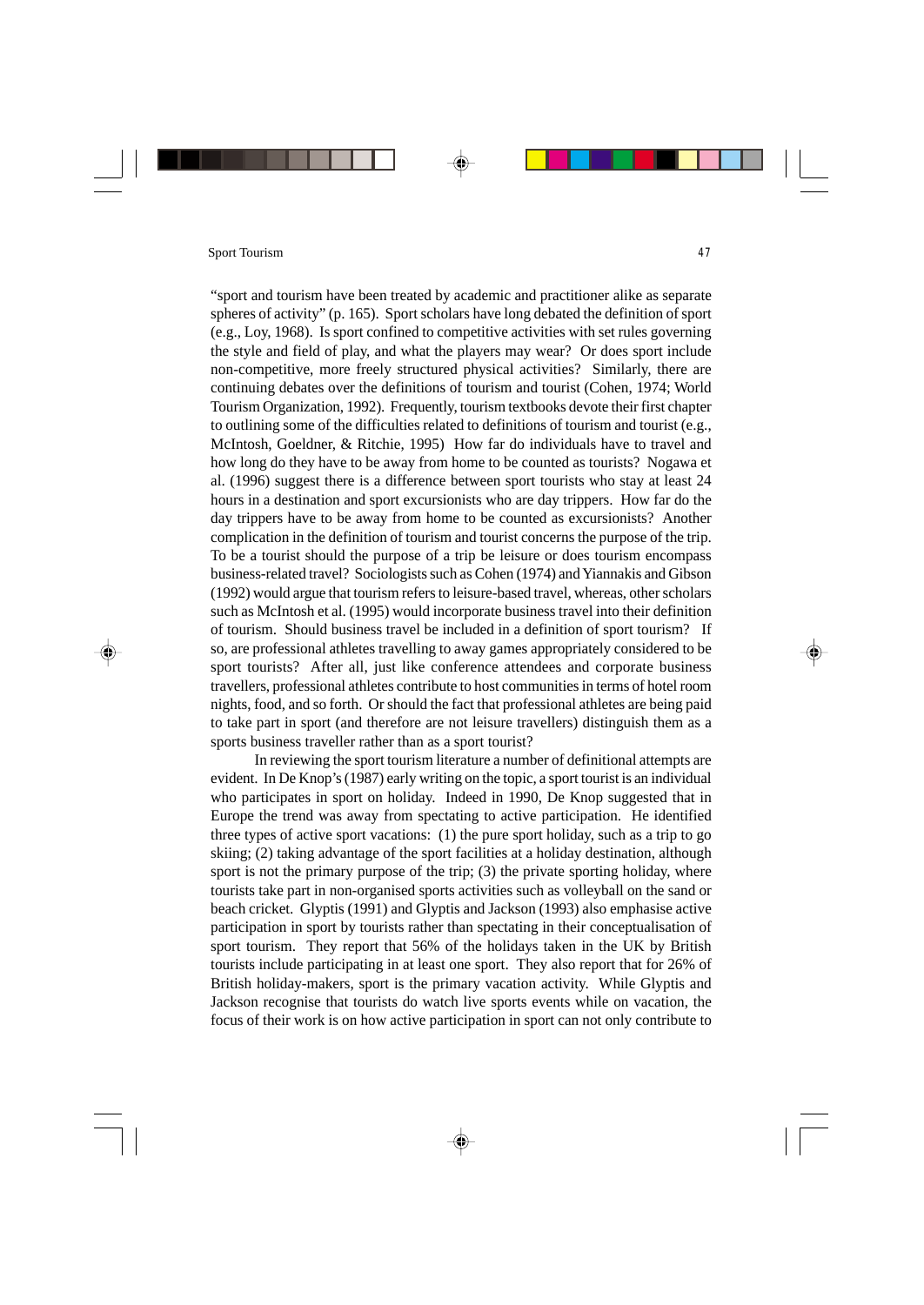"sport and tourism have been treated by academic and practitioner alike as separate spheres of activity" (p. 165). Sport scholars have long debated the definition of sport (e.g., Loy, 1968). Is sport confined to competitive activities with set rules governing the style and field of play, and what the players may wear? Or does sport include non-competitive, more freely structured physical activities? Similarly, there are continuing debates over the definitions of tourism and tourist (Cohen, 1974; World Tourism Organization, 1992). Frequently, tourism textbooks devote their first chapter to outlining some of the difficulties related to definitions of tourism and tourist (e.g., McIntosh, Goeldner, & Ritchie, 1995) How far do individuals have to travel and how long do they have to be away from home to be counted as tourists? Nogawa et al. (1996) suggest there is a difference between sport tourists who stay at least 24 hours in a destination and sport excursionists who are day trippers. How far do the day trippers have to be away from home to be counted as excursionists? Another complication in the definition of tourism and tourist concerns the purpose of the trip. To be a tourist should the purpose of a trip be leisure or does tourism encompass business-related travel? Sociologists such as Cohen (1974) and Yiannakis and Gibson (1992) would argue that tourism refers to leisure-based travel, whereas, other scholars such as McIntosh et al. (1995) would incorporate business travel into their definition of tourism. Should business travel be included in a definition of sport tourism? If so, are professional athletes travelling to away games appropriately considered to be sport tourists? After all, just like conference attendees and corporate business travellers, professional athletes contribute to host communities in terms of hotel room nights, food, and so forth. Or should the fact that professional athletes are being paid to take part in sport (and therefore are not leisure travellers) distinguish them as a sports business traveller rather than as a sport tourist?

In reviewing the sport tourism literature a number of definitional attempts are evident. In De Knop's (1987) early writing on the topic, a sport tourist is an individual who participates in sport on holiday. Indeed in 1990, De Knop suggested that in Europe the trend was away from spectating to active participation. He identified three types of active sport vacations: (1) the pure sport holiday, such as a trip to go skiing; (2) taking advantage of the sport facilities at a holiday destination, although sport is not the primary purpose of the trip; (3) the private sporting holiday, where tourists take part in non-organised sports activities such as volleyball on the sand or beach cricket. Glyptis (1991) and Glyptis and Jackson (1993) also emphasise active participation in sport by tourists rather than spectating in their conceptualisation of sport tourism. They report that 56% of the holidays taken in the UK by British tourists include participating in at least one sport. They also report that for 26% of British holiday-makers, sport is the primary vacation activity. While Glyptis and Jackson recognise that tourists do watch live sports events while on vacation, the focus of their work is on how active participation in sport can not only contribute to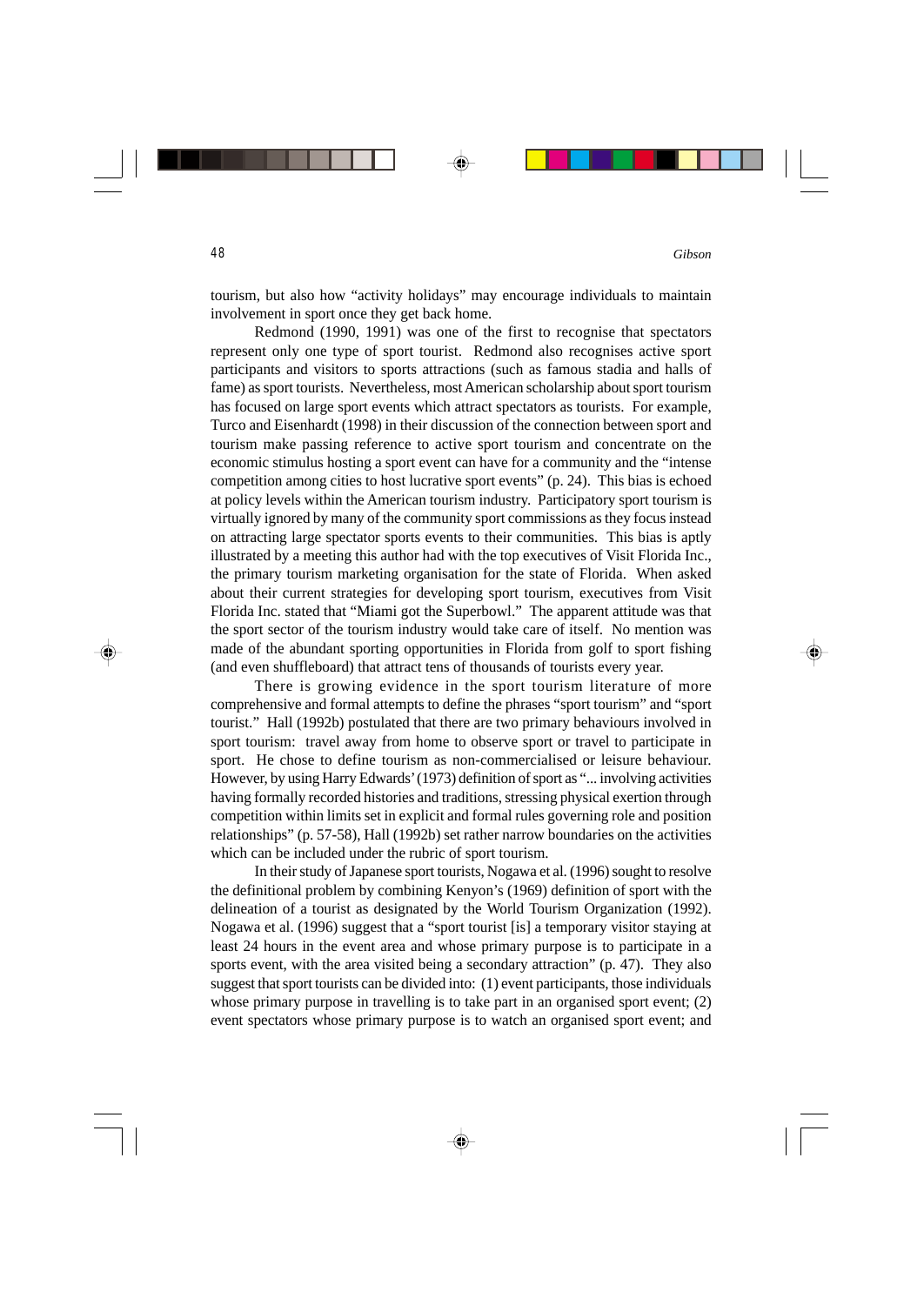tourism, but also how "activity holidays" may encourage individuals to maintain involvement in sport once they get back home.

Redmond (1990, 1991) was one of the first to recognise that spectators represent only one type of sport tourist. Redmond also recognises active sport participants and visitors to sports attractions (such as famous stadia and halls of fame) as sport tourists. Nevertheless, most American scholarship about sport tourism has focused on large sport events which attract spectators as tourists. For example, Turco and Eisenhardt (1998) in their discussion of the connection between sport and tourism make passing reference to active sport tourism and concentrate on the economic stimulus hosting a sport event can have for a community and the "intense competition among cities to host lucrative sport events" (p. 24). This bias is echoed at policy levels within the American tourism industry. Participatory sport tourism is virtually ignored by many of the community sport commissions as they focus instead on attracting large spectator sports events to their communities. This bias is aptly illustrated by a meeting this author had with the top executives of Visit Florida Inc., the primary tourism marketing organisation for the state of Florida. When asked about their current strategies for developing sport tourism, executives from Visit Florida Inc. stated that "Miami got the Superbowl." The apparent attitude was that the sport sector of the tourism industry would take care of itself. No mention was made of the abundant sporting opportunities in Florida from golf to sport fishing (and even shuffleboard) that attract tens of thousands of tourists every year.

There is growing evidence in the sport tourism literature of more comprehensive and formal attempts to define the phrases "sport tourism" and "sport tourist." Hall (1992b) postulated that there are two primary behaviours involved in sport tourism: travel away from home to observe sport or travel to participate in sport. He chose to define tourism as non-commercialised or leisure behaviour. However, by using Harry Edwards' (1973) definition of sport as "... involving activities having formally recorded histories and traditions, stressing physical exertion through competition within limits set in explicit and formal rules governing role and position relationships" (p. 57-58), Hall (1992b) set rather narrow boundaries on the activities which can be included under the rubric of sport tourism.

In their study of Japanese sport tourists, Nogawa et al. (1996) sought to resolve the definitional problem by combining Kenyon's (1969) definition of sport with the delineation of a tourist as designated by the World Tourism Organization (1992). Nogawa et al. (1996) suggest that a "sport tourist [is] a temporary visitor staying at least 24 hours in the event area and whose primary purpose is to participate in a sports event, with the area visited being a secondary attraction" (p. 47). They also suggest that sport tourists can be divided into: (1) event participants, those individuals whose primary purpose in travelling is to take part in an organised sport event; (2) event spectators whose primary purpose is to watch an organised sport event; and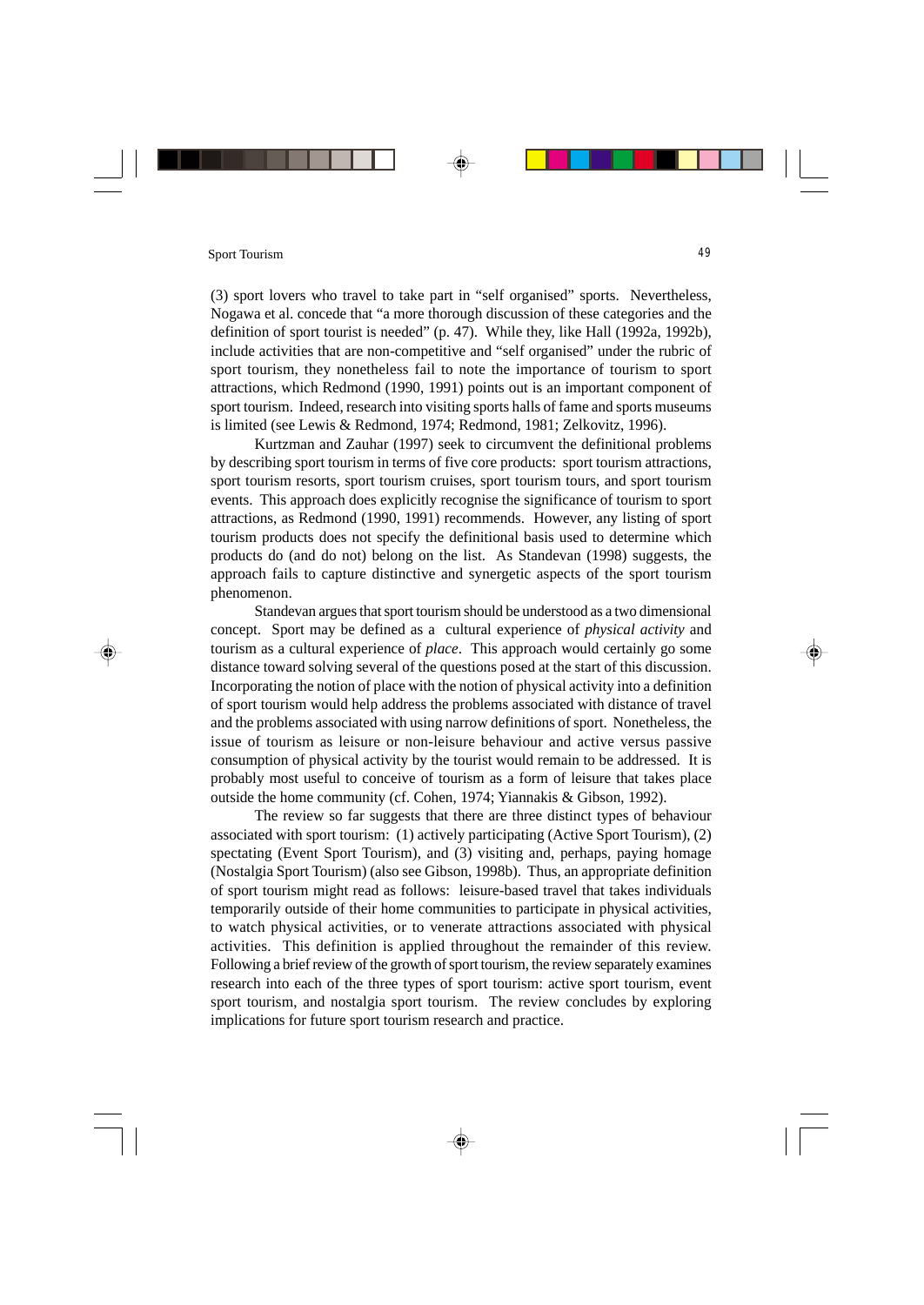(3) sport lovers who travel to take part in "self organised" sports. Nevertheless, Nogawa et al. concede that "a more thorough discussion of these categories and the definition of sport tourist is needed" (p. 47). While they, like Hall (1992a, 1992b), include activities that are non-competitive and "self organised" under the rubric of sport tourism, they nonetheless fail to note the importance of tourism to sport attractions, which Redmond (1990, 1991) points out is an important component of sport tourism. Indeed, research into visiting sports halls of fame and sports museums is limited (see Lewis & Redmond, 1974; Redmond, 1981; Zelkovitz, 1996).

Kurtzman and Zauhar (1997) seek to circumvent the definitional problems by describing sport tourism in terms of five core products: sport tourism attractions, sport tourism resorts, sport tourism cruises, sport tourism tours, and sport tourism events. This approach does explicitly recognise the significance of tourism to sport attractions, as Redmond (1990, 1991) recommends. However, any listing of sport tourism products does not specify the definitional basis used to determine which products do (and do not) belong on the list. As Standevan (1998) suggests, the approach fails to capture distinctive and synergetic aspects of the sport tourism phenomenon.

Standevan argues that sport tourism should be understood as a two dimensional concept. Sport may be defined as a cultural experience of *physical activity* and tourism as a cultural experience of *place*. This approach would certainly go some distance toward solving several of the questions posed at the start of this discussion. Incorporating the notion of place with the notion of physical activity into a definition of sport tourism would help address the problems associated with distance of travel and the problems associated with using narrow definitions of sport. Nonetheless, the issue of tourism as leisure or non-leisure behaviour and active versus passive consumption of physical activity by the tourist would remain to be addressed. It is probably most useful to conceive of tourism as a form of leisure that takes place outside the home community (cf. Cohen, 1974; Yiannakis & Gibson, 1992).

The review so far suggests that there are three distinct types of behaviour associated with sport tourism: (1) actively participating (Active Sport Tourism), (2) spectating (Event Sport Tourism), and (3) visiting and, perhaps, paying homage (Nostalgia Sport Tourism) (also see Gibson, 1998b). Thus, an appropriate definition of sport tourism might read as follows: leisure-based travel that takes individuals temporarily outside of their home communities to participate in physical activities, to watch physical activities, or to venerate attractions associated with physical activities. This definition is applied throughout the remainder of this review. Following a brief review of the growth of sport tourism, the review separately examines research into each of the three types of sport tourism: active sport tourism, event sport tourism, and nostalgia sport tourism. The review concludes by exploring implications for future sport tourism research and practice.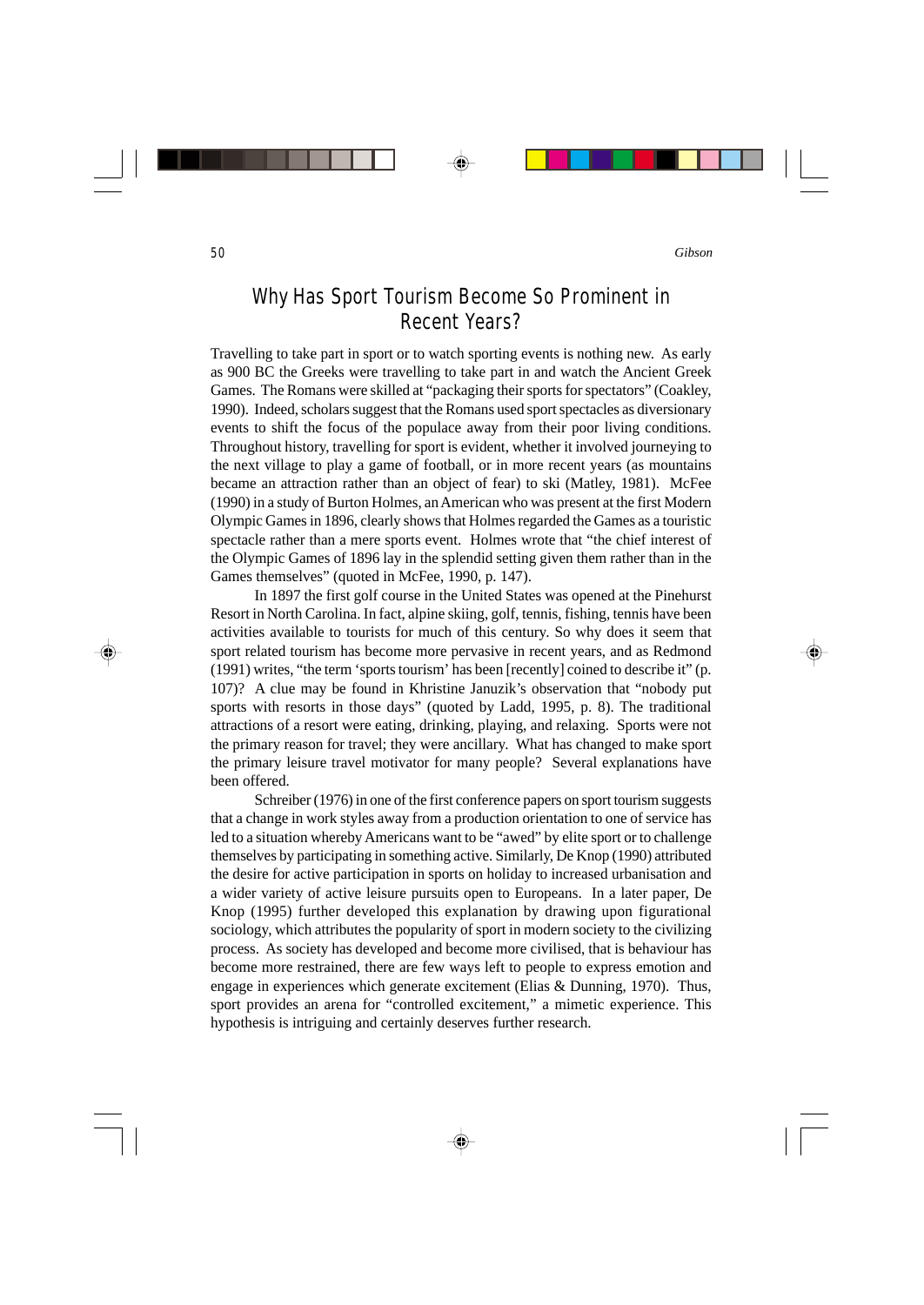# Why Has Sport Tourism Become So Prominent in Recent Years?

Travelling to take part in sport or to watch sporting events is nothing new. As early as 900 BC the Greeks were travelling to take part in and watch the Ancient Greek Games. The Romans were skilled at "packaging their sports for spectators" (Coakley, 1990). Indeed, scholars suggest that the Romans used sport spectacles as diversionary events to shift the focus of the populace away from their poor living conditions. Throughout history, travelling for sport is evident, whether it involved journeying to the next village to play a game of football, or in more recent years (as mountains became an attraction rather than an object of fear) to ski (Matley, 1981). McFee (1990) in a study of Burton Holmes, an American who was present at the first Modern Olympic Games in 1896, clearly shows that Holmes regarded the Games as a touristic spectacle rather than a mere sports event. Holmes wrote that "the chief interest of the Olympic Games of 1896 lay in the splendid setting given them rather than in the Games themselves" (quoted in McFee, 1990, p. 147).

In 1897 the first golf course in the United States was opened at the Pinehurst Resort in North Carolina. In fact, alpine skiing, golf, tennis, fishing, tennis have been activities available to tourists for much of this century. So why does it seem that sport related tourism has become more pervasive in recent years, and as Redmond (1991) writes, "the term 'sports tourism' has been [recently] coined to describe it" (p. 107)? A clue may be found in Khristine Januzik's observation that "nobody put sports with resorts in those days" (quoted by Ladd, 1995, p. 8). The traditional attractions of a resort were eating, drinking, playing, and relaxing. Sports were not the primary reason for travel; they were ancillary. What has changed to make sport the primary leisure travel motivator for many people? Several explanations have been offered.

Schreiber (1976) in one of the first conference papers on sport tourism suggests that a change in work styles away from a production orientation to one of service has led to a situation whereby Americans want to be "awed" by elite sport or to challenge themselves by participating in something active. Similarly, De Knop (1990) attributed the desire for active participation in sports on holiday to increased urbanisation and a wider variety of active leisure pursuits open to Europeans. In a later paper, De Knop (1995) further developed this explanation by drawing upon figurational sociology, which attributes the popularity of sport in modern society to the civilizing process. As society has developed and become more civilised, that is behaviour has become more restrained, there are few ways left to people to express emotion and engage in experiences which generate excitement (Elias & Dunning, 1970). Thus, sport provides an arena for "controlled excitement," a mimetic experience. This hypothesis is intriguing and certainly deserves further research.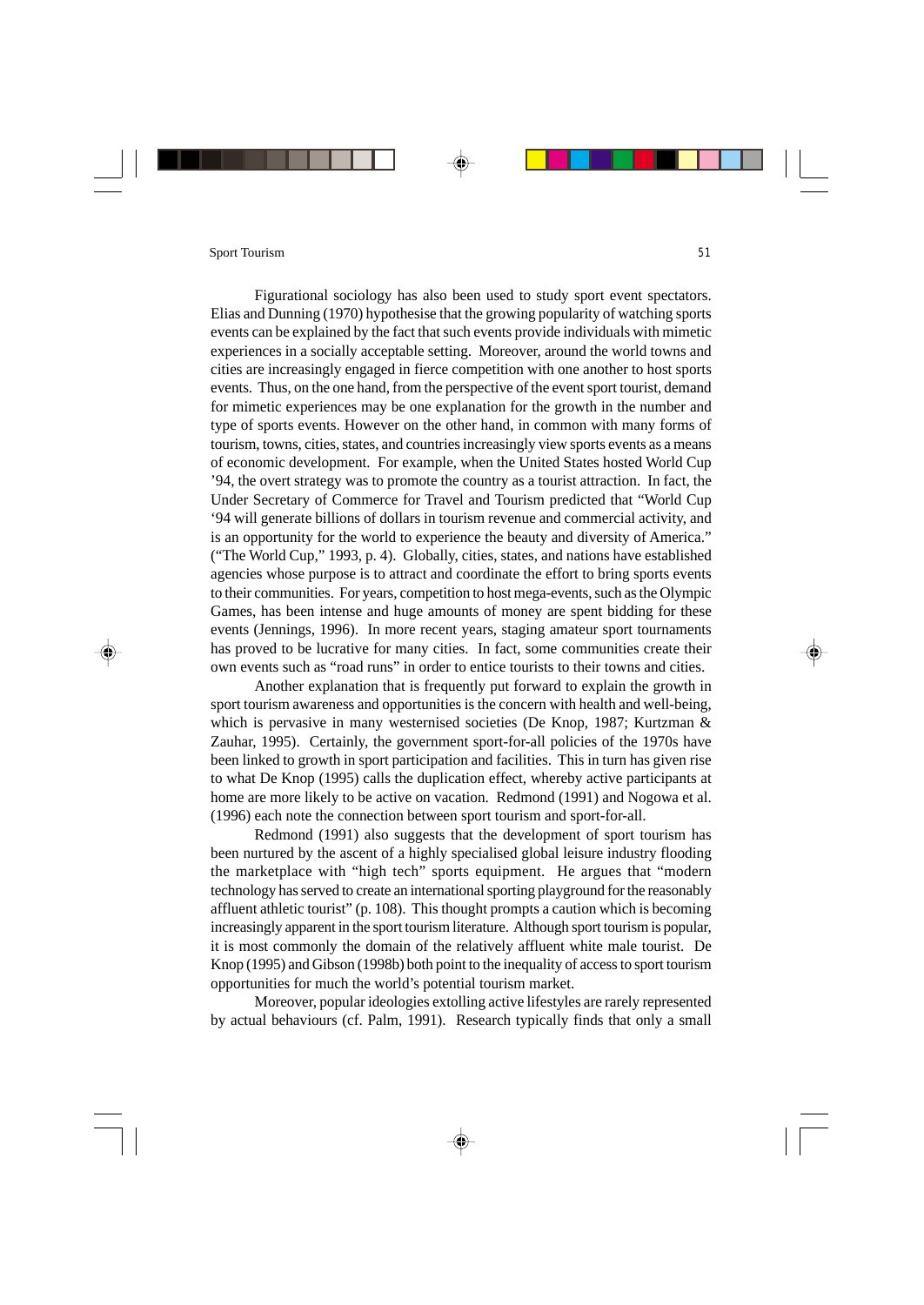Figurational sociology has also been used to study sport event spectators. Elias and Dunning (1970) hypothesise that the growing popularity of watching sports events can be explained by the fact that such events provide individuals with mimetic experiences in a socially acceptable setting. Moreover, around the world towns and cities are increasingly engaged in fierce competition with one another to host sports events. Thus, on the one hand, from the perspective of the event sport tourist, demand for mimetic experiences may be one explanation for the growth in the number and type of sports events. However on the other hand, in common with many forms of tourism, towns, cities, states, and countries increasingly view sports events as a means of economic development. For example, when the United States hosted World Cup '94, the overt strategy was to promote the country as a tourist attraction. In fact, the Under Secretary of Commerce for Travel and Tourism predicted that "World Cup '94 will generate billions of dollars in tourism revenue and commercial activity, and is an opportunity for the world to experience the beauty and diversity of America." ("The World Cup," 1993, p. 4). Globally, cities, states, and nations have established agencies whose purpose is to attract and coordinate the effort to bring sports events to their communities. For years, competition to host mega-events, such as the Olympic Games, has been intense and huge amounts of money are spent bidding for these events (Jennings, 1996). In more recent years, staging amateur sport tournaments has proved to be lucrative for many cities. In fact, some communities create their own events such as "road runs" in order to entice tourists to their towns and cities.

Another explanation that is frequently put forward to explain the growth in sport tourism awareness and opportunities is the concern with health and well-being, which is pervasive in many westernised societies (De Knop, 1987; Kurtzman & Zauhar, 1995). Certainly, the government sport-for-all policies of the 1970s have been linked to growth in sport participation and facilities. This in turn has given rise to what De Knop (1995) calls the duplication effect, whereby active participants at home are more likely to be active on vacation. Redmond (1991) and Nogowa et al. (1996) each note the connection between sport tourism and sport-for-all.

Redmond (1991) also suggests that the development of sport tourism has been nurtured by the ascent of a highly specialised global leisure industry flooding the marketplace with "high tech" sports equipment. He argues that "modern technology has served to create an international sporting playground for the reasonably affluent athletic tourist" (p. 108). This thought prompts a caution which is becoming increasingly apparent in the sport tourism literature. Although sport tourism is popular, it is most commonly the domain of the relatively affluent white male tourist. De Knop (1995) and Gibson (1998b) both point to the inequality of access to sport tourism opportunities for much the world's potential tourism market.

Moreover, popular ideologies extolling active lifestyles are rarely represented by actual behaviours (cf. Palm, 1991). Research typically finds that only a small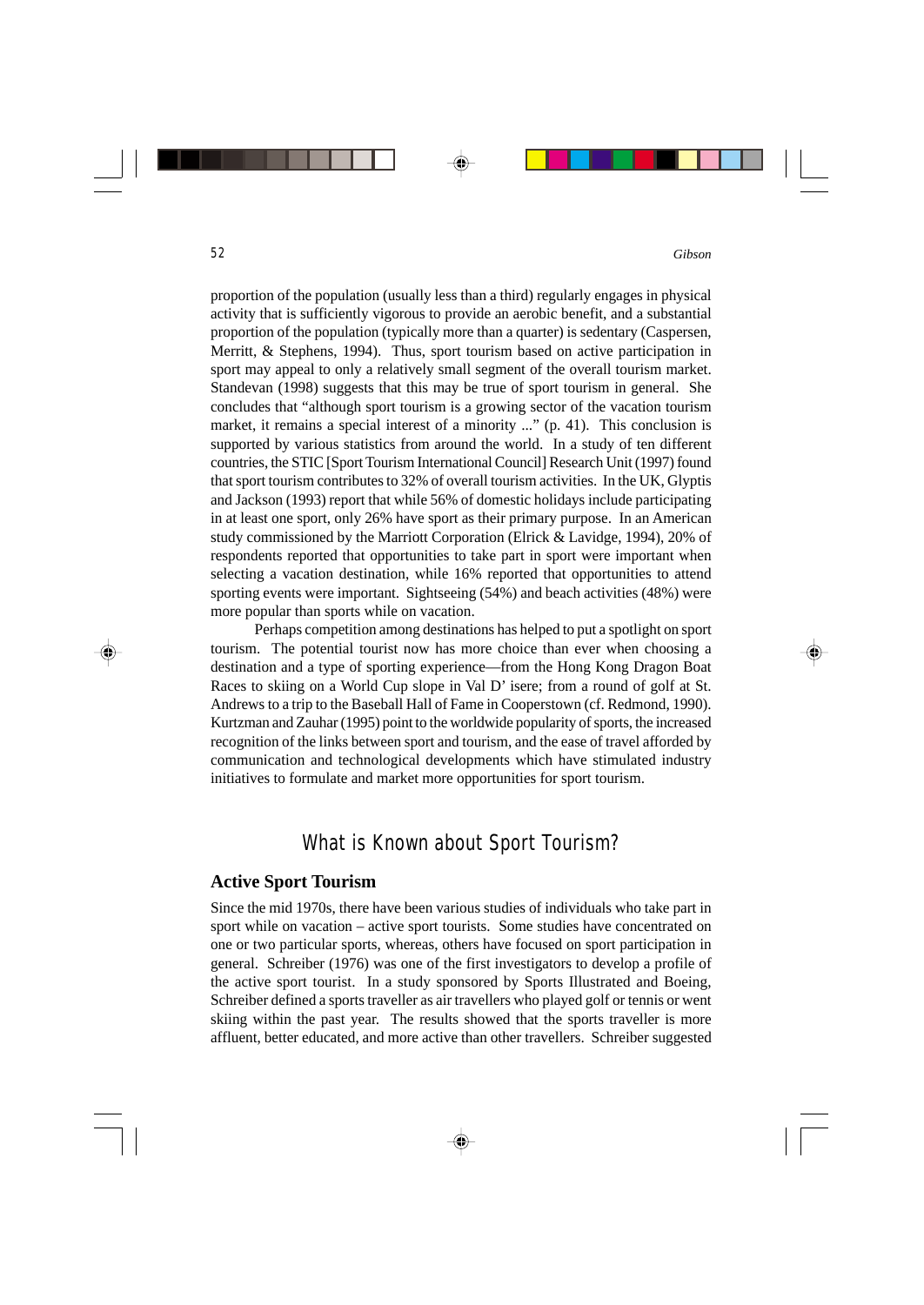proportion of the population (usually less than a third) regularly engages in physical activity that is sufficiently vigorous to provide an aerobic benefit, and a substantial proportion of the population (typically more than a quarter) is sedentary (Caspersen, Merritt, & Stephens, 1994). Thus, sport tourism based on active participation in sport may appeal to only a relatively small segment of the overall tourism market. Standevan (1998) suggests that this may be true of sport tourism in general. She concludes that "although sport tourism is a growing sector of the vacation tourism market, it remains a special interest of a minority ..." (p. 41). This conclusion is supported by various statistics from around the world. In a study of ten different countries, the STIC [Sport Tourism International Council] Research Unit (1997) found that sport tourism contributes to 32% of overall tourism activities. In the UK, Glyptis and Jackson (1993) report that while 56% of domestic holidays include participating in at least one sport, only 26% have sport as their primary purpose. In an American study commissioned by the Marriott Corporation (Elrick & Lavidge, 1994), 20% of respondents reported that opportunities to take part in sport were important when selecting a vacation destination, while 16% reported that opportunities to attend sporting events were important. Sightseeing (54%) and beach activities (48%) were more popular than sports while on vacation.

Perhaps competition among destinations has helped to put a spotlight on sport tourism. The potential tourist now has more choice than ever when choosing a destination and a type of sporting experience—from the Hong Kong Dragon Boat Races to skiing on a World Cup slope in Val D' isere; from a round of golf at St. Andrews to a trip to the Baseball Hall of Fame in Cooperstown (cf. Redmond, 1990). Kurtzman and Zauhar (1995) point to the worldwide popularity of sports, the increased recognition of the links between sport and tourism, and the ease of travel afforded by communication and technological developments which have stimulated industry initiatives to formulate and market more opportunities for sport tourism.

### What is Known about Sport Tourism?

#### **Active Sport Tourism**

Since the mid 1970s, there have been various studies of individuals who take part in sport while on vacation – active sport tourists. Some studies have concentrated on one or two particular sports, whereas, others have focused on sport participation in general. Schreiber (1976) was one of the first investigators to develop a profile of the active sport tourist. In a study sponsored by Sports Illustrated and Boeing, Schreiber defined a sports traveller as air travellers who played golf or tennis or went skiing within the past year. The results showed that the sports traveller is more affluent, better educated, and more active than other travellers. Schreiber suggested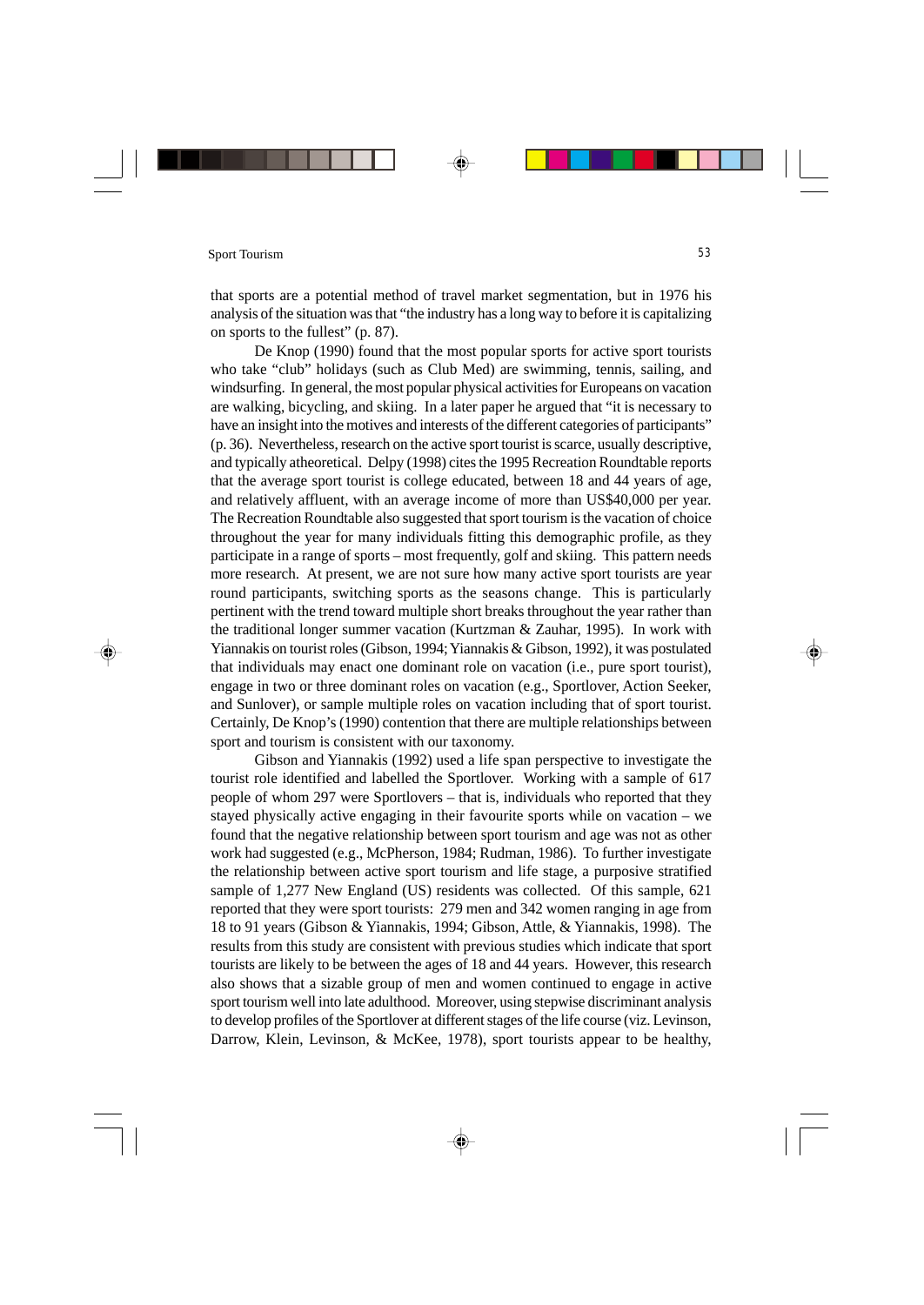that sports are a potential method of travel market segmentation, but in 1976 his analysis of the situation was that "the industry has a long way to before it is capitalizing on sports to the fullest" (p. 87).

De Knop (1990) found that the most popular sports for active sport tourists who take "club" holidays (such as Club Med) are swimming, tennis, sailing, and windsurfing. In general, the most popular physical activities for Europeans on vacation are walking, bicycling, and skiing. In a later paper he argued that "it is necessary to have an insight into the motives and interests of the different categories of participants" (p. 36). Nevertheless, research on the active sport tourist is scarce, usually descriptive, and typically atheoretical. Delpy (1998) cites the 1995 Recreation Roundtable reports that the average sport tourist is college educated, between 18 and 44 years of age, and relatively affluent, with an average income of more than US\$40,000 per year. The Recreation Roundtable also suggested that sport tourism is the vacation of choice throughout the year for many individuals fitting this demographic profile, as they participate in a range of sports – most frequently, golf and skiing. This pattern needs more research. At present, we are not sure how many active sport tourists are year round participants, switching sports as the seasons change. This is particularly pertinent with the trend toward multiple short breaks throughout the year rather than the traditional longer summer vacation (Kurtzman & Zauhar, 1995). In work with Yiannakis on tourist roles (Gibson, 1994; Yiannakis & Gibson, 1992), it was postulated that individuals may enact one dominant role on vacation (i.e., pure sport tourist), engage in two or three dominant roles on vacation (e.g., Sportlover, Action Seeker, and Sunlover), or sample multiple roles on vacation including that of sport tourist. Certainly, De Knop's (1990) contention that there are multiple relationships between sport and tourism is consistent with our taxonomy.

Gibson and Yiannakis (1992) used a life span perspective to investigate the tourist role identified and labelled the Sportlover. Working with a sample of 617 people of whom 297 were Sportlovers – that is, individuals who reported that they stayed physically active engaging in their favourite sports while on vacation – we found that the negative relationship between sport tourism and age was not as other work had suggested (e.g., McPherson, 1984; Rudman, 1986). To further investigate the relationship between active sport tourism and life stage, a purposive stratified sample of 1,277 New England (US) residents was collected. Of this sample, 621 reported that they were sport tourists: 279 men and 342 women ranging in age from 18 to 91 years (Gibson & Yiannakis, 1994; Gibson, Attle, & Yiannakis, 1998). The results from this study are consistent with previous studies which indicate that sport tourists are likely to be between the ages of 18 and 44 years. However, this research also shows that a sizable group of men and women continued to engage in active sport tourism well into late adulthood. Moreover, using stepwise discriminant analysis to develop profiles of the Sportlover at different stages of the life course (viz. Levinson, Darrow, Klein, Levinson, & McKee, 1978), sport tourists appear to be healthy,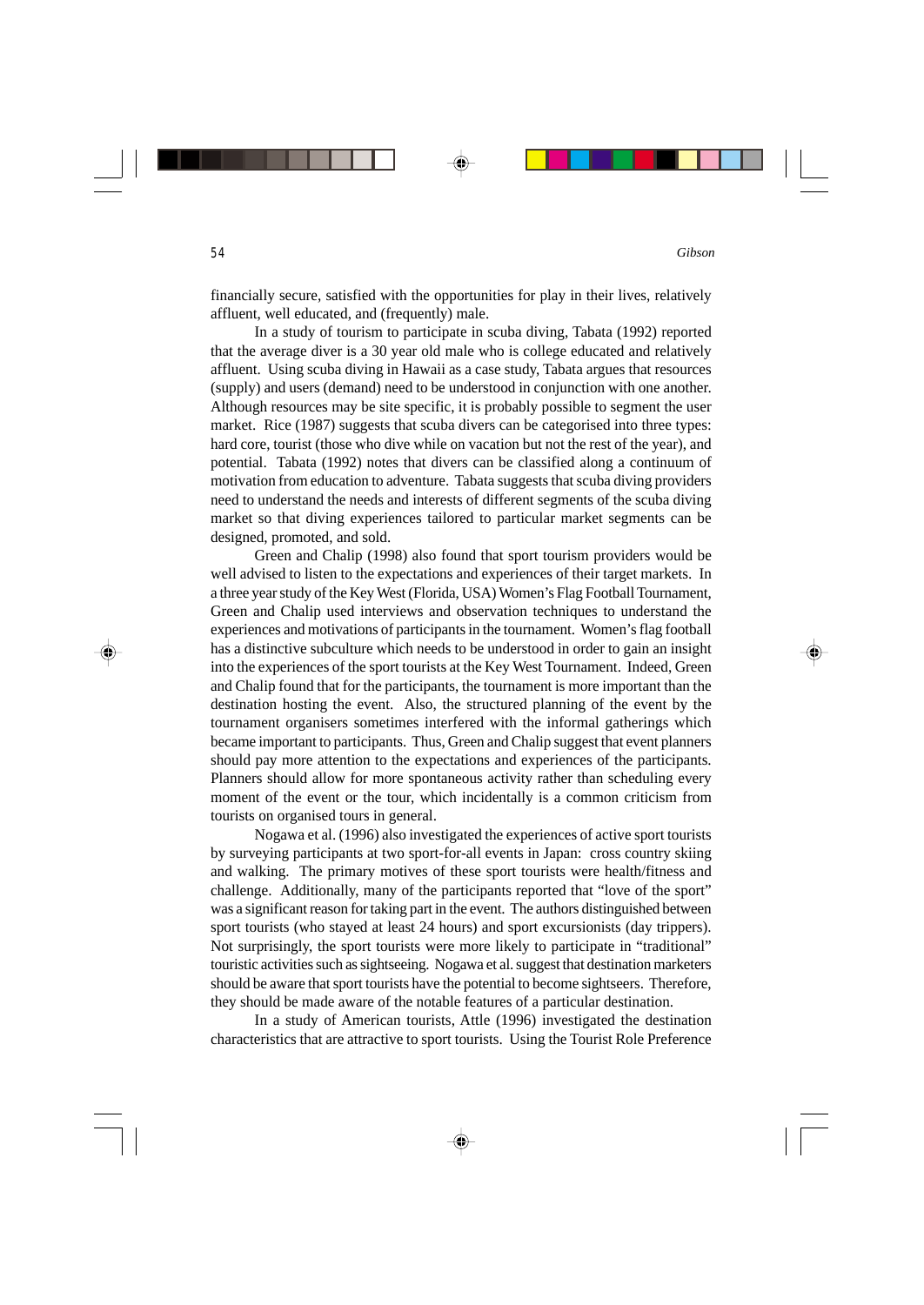financially secure, satisfied with the opportunities for play in their lives, relatively affluent, well educated, and (frequently) male.

In a study of tourism to participate in scuba diving, Tabata (1992) reported that the average diver is a 30 year old male who is college educated and relatively affluent. Using scuba diving in Hawaii as a case study, Tabata argues that resources (supply) and users (demand) need to be understood in conjunction with one another. Although resources may be site specific, it is probably possible to segment the user market. Rice (1987) suggests that scuba divers can be categorised into three types: hard core, tourist (those who dive while on vacation but not the rest of the year), and potential. Tabata (1992) notes that divers can be classified along a continuum of motivation from education to adventure. Tabata suggests that scuba diving providers need to understand the needs and interests of different segments of the scuba diving market so that diving experiences tailored to particular market segments can be designed, promoted, and sold.

Green and Chalip (1998) also found that sport tourism providers would be well advised to listen to the expectations and experiences of their target markets. In a three year study of the Key West (Florida, USA) Women's Flag Football Tournament, Green and Chalip used interviews and observation techniques to understand the experiences and motivations of participants in the tournament. Women's flag football has a distinctive subculture which needs to be understood in order to gain an insight into the experiences of the sport tourists at the Key West Tournament. Indeed, Green and Chalip found that for the participants, the tournament is more important than the destination hosting the event. Also, the structured planning of the event by the tournament organisers sometimes interfered with the informal gatherings which became important to participants. Thus, Green and Chalip suggest that event planners should pay more attention to the expectations and experiences of the participants. Planners should allow for more spontaneous activity rather than scheduling every moment of the event or the tour, which incidentally is a common criticism from tourists on organised tours in general.

Nogawa et al. (1996) also investigated the experiences of active sport tourists by surveying participants at two sport-for-all events in Japan: cross country skiing and walking. The primary motives of these sport tourists were health/fitness and challenge. Additionally, many of the participants reported that "love of the sport" was a significant reason for taking part in the event. The authors distinguished between sport tourists (who stayed at least 24 hours) and sport excursionists (day trippers). Not surprisingly, the sport tourists were more likely to participate in "traditional" touristic activities such as sightseeing. Nogawa et al. suggest that destination marketers should be aware that sport tourists have the potential to become sightseers. Therefore, they should be made aware of the notable features of a particular destination.

In a study of American tourists, Attle (1996) investigated the destination characteristics that are attractive to sport tourists. Using the Tourist Role Preference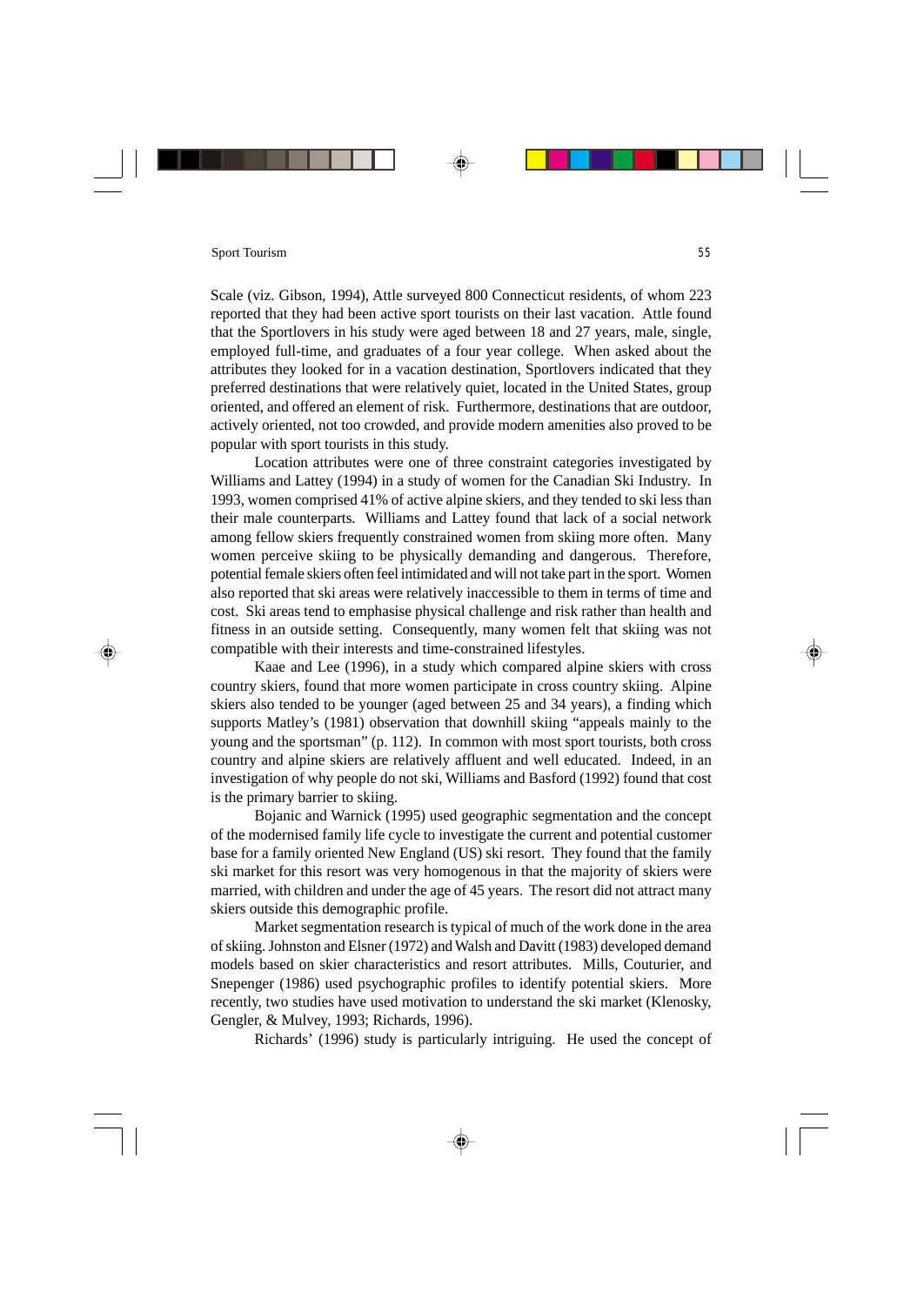Scale (viz. Gibson, 1994), Attle surveyed 800 Connecticut residents, of whom 223 reported that they had been active sport tourists on their last vacation. Attle found that the Sportlovers in his study were aged between 18 and 27 years, male, single, employed full-time, and graduates of a four year college. When asked about the attributes they looked for in a vacation destination, Sportlovers indicated that they preferred destinations that were relatively quiet, located in the United States, group oriented, and offered an element of risk. Furthermore, destinations that are outdoor, actively oriented, not too crowded, and provide modern amenities also proved to be popular with sport tourists in this study.

Location attributes were one of three constraint categories investigated by Williams and Lattey (1994) in a study of women for the Canadian Ski Industry. In 1993, women comprised 41% of active alpine skiers, and they tended to ski less than their male counterparts. Williams and Lattey found that lack of a social network among fellow skiers frequently constrained women from skiing more often. Many women perceive skiing to be physically demanding and dangerous. Therefore, potential female skiers often feel intimidated and will not take part in the sport. Women also reported that ski areas were relatively inaccessible to them in terms of time and cost. Ski areas tend to emphasise physical challenge and risk rather than health and fitness in an outside setting. Consequently, many women felt that skiing was not compatible with their interests and time-constrained lifestyles.

Kaae and Lee (1996), in a study which compared alpine skiers with cross country skiers, found that more women participate in cross country skiing. Alpine skiers also tended to be younger (aged between 25 and 34 years), a finding which supports Matley's (1981) observation that downhill skiing "appeals mainly to the young and the sportsman" (p. 112). In common with most sport tourists, both cross country and alpine skiers are relatively affluent and well educated. Indeed, in an investigation of why people do not ski, Williams and Basford (1992) found that cost is the primary barrier to skiing.

Bojanic and Warnick (1995) used geographic segmentation and the concept of the modernised family life cycle to investigate the current and potential customer base for a family oriented New England (US) ski resort. They found that the family ski market for this resort was very homogenous in that the majority of skiers were married, with children and under the age of 45 years. The resort did not attract many skiers outside this demographic profile.

Market segmentation research is typical of much of the work done in the area of skiing. Johnston and Elsner (1972) and Walsh and Davitt (1983) developed demand models based on skier characteristics and resort attributes. Mills, Couturier, and Snepenger (1986) used psychographic profiles to identify potential skiers. More recently, two studies have used motivation to understand the ski market (Klenosky, Gengler, & Mulvey, 1993; Richards, 1996).

Richards' (1996) study is particularly intriguing. He used the concept of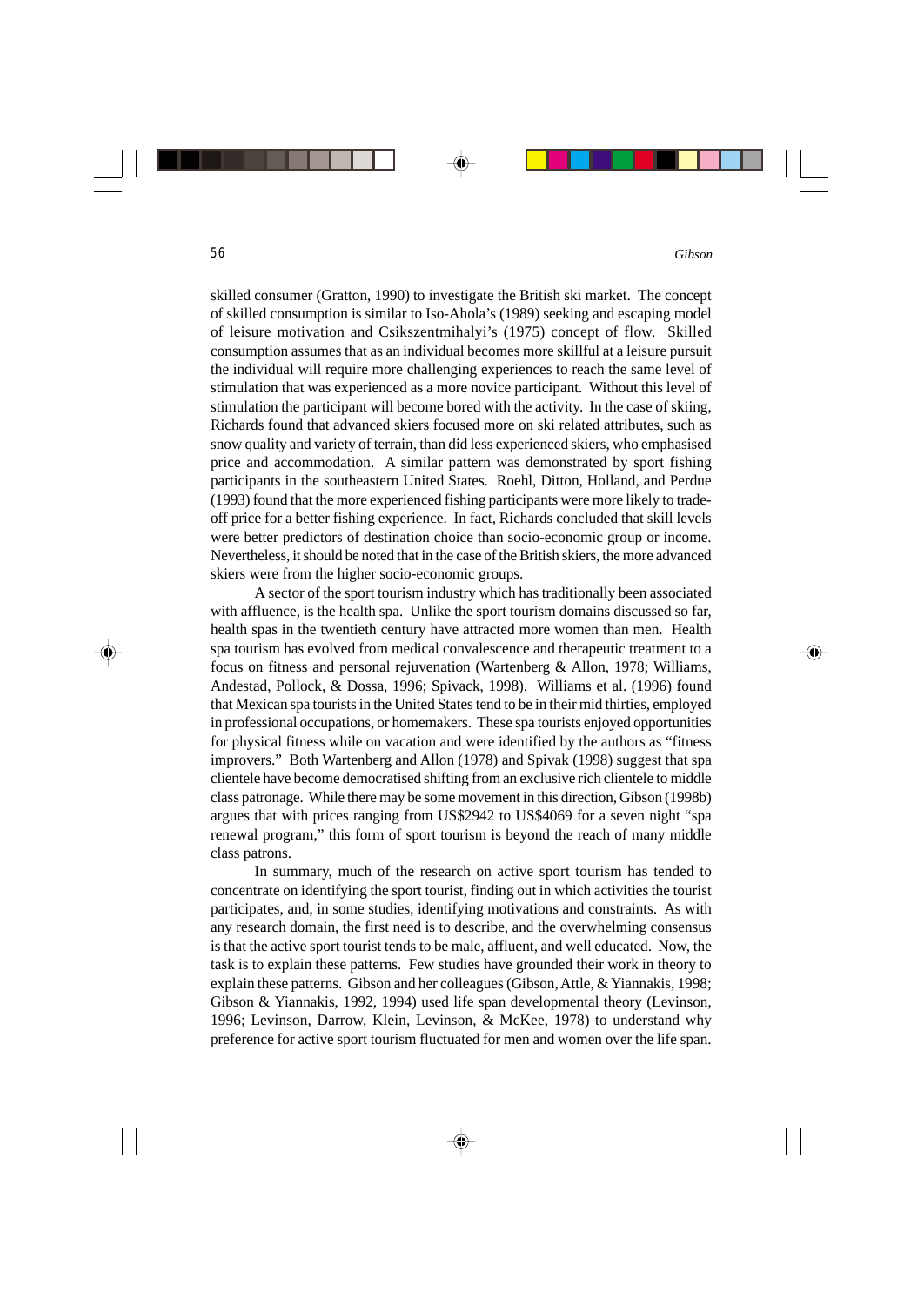skilled consumer (Gratton, 1990) to investigate the British ski market. The concept of skilled consumption is similar to Iso-Ahola's (1989) seeking and escaping model of leisure motivation and Csikszentmihalyi's (1975) concept of flow. Skilled consumption assumes that as an individual becomes more skillful at a leisure pursuit the individual will require more challenging experiences to reach the same level of stimulation that was experienced as a more novice participant. Without this level of stimulation the participant will become bored with the activity. In the case of skiing, Richards found that advanced skiers focused more on ski related attributes, such as snow quality and variety of terrain, than did less experienced skiers, who emphasised price and accommodation. A similar pattern was demonstrated by sport fishing participants in the southeastern United States. Roehl, Ditton, Holland, and Perdue (1993) found that the more experienced fishing participants were more likely to tradeoff price for a better fishing experience. In fact, Richards concluded that skill levels were better predictors of destination choice than socio-economic group or income. Nevertheless, it should be noted that in the case of the British skiers, the more advanced skiers were from the higher socio-economic groups.

A sector of the sport tourism industry which has traditionally been associated with affluence, is the health spa. Unlike the sport tourism domains discussed so far, health spas in the twentieth century have attracted more women than men. Health spa tourism has evolved from medical convalescence and therapeutic treatment to a focus on fitness and personal rejuvenation (Wartenberg & Allon, 1978; Williams, Andestad, Pollock, & Dossa, 1996; Spivack, 1998). Williams et al. (1996) found that Mexican spa tourists in the United States tend to be in their mid thirties, employed in professional occupations, or homemakers. These spa tourists enjoyed opportunities for physical fitness while on vacation and were identified by the authors as "fitness improvers." Both Wartenberg and Allon (1978) and Spivak (1998) suggest that spa clientele have become democratised shifting from an exclusive rich clientele to middle class patronage. While there may be some movement in this direction, Gibson (1998b) argues that with prices ranging from US\$2942 to US\$4069 for a seven night "spa renewal program," this form of sport tourism is beyond the reach of many middle class patrons.

In summary, much of the research on active sport tourism has tended to concentrate on identifying the sport tourist, finding out in which activities the tourist participates, and, in some studies, identifying motivations and constraints. As with any research domain, the first need is to describe, and the overwhelming consensus is that the active sport tourist tends to be male, affluent, and well educated. Now, the task is to explain these patterns. Few studies have grounded their work in theory to explain these patterns. Gibson and her colleagues (Gibson, Attle, & Yiannakis, 1998; Gibson & Yiannakis, 1992, 1994) used life span developmental theory (Levinson, 1996; Levinson, Darrow, Klein, Levinson, & McKee, 1978) to understand why preference for active sport tourism fluctuated for men and women over the life span.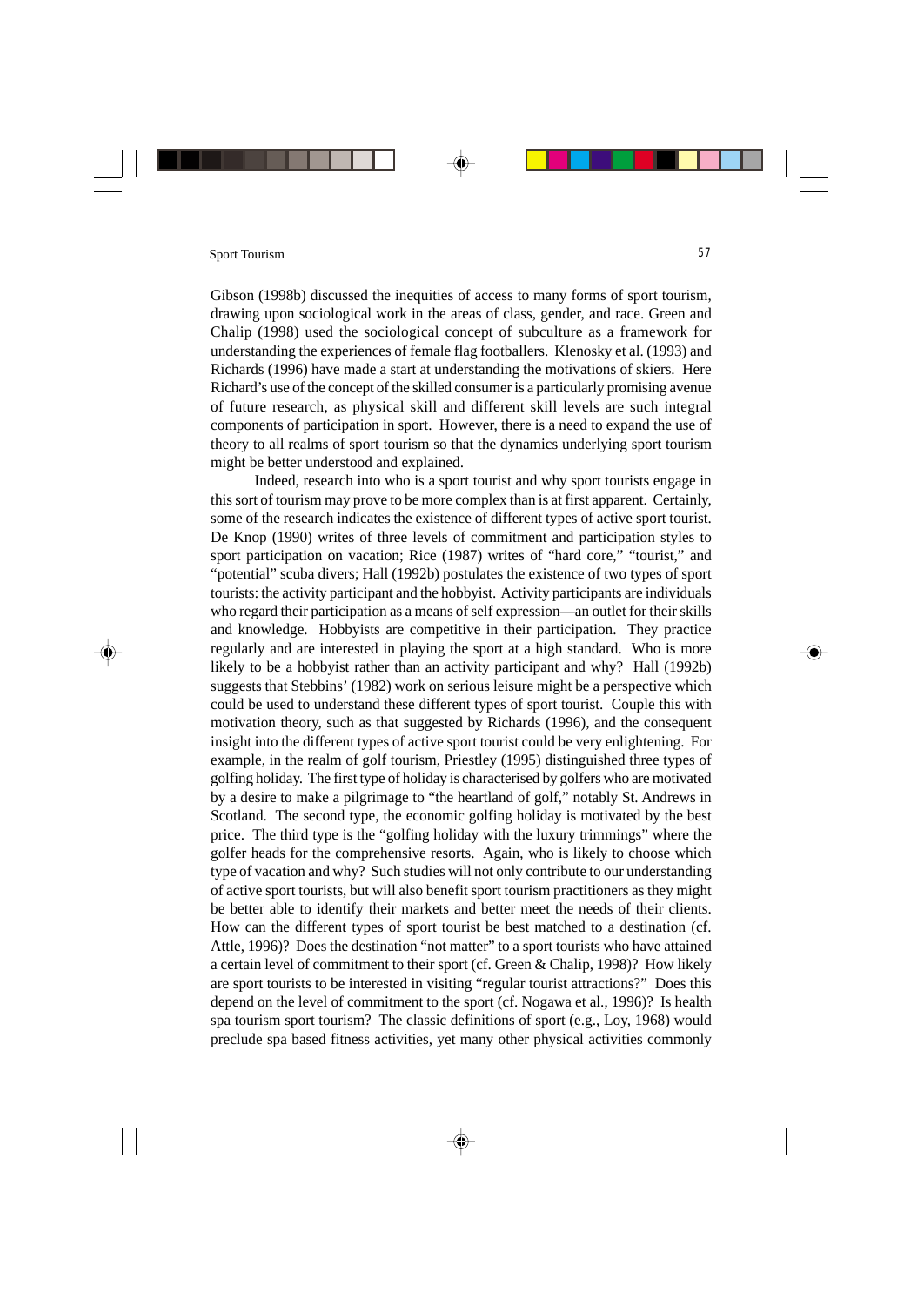Gibson (1998b) discussed the inequities of access to many forms of sport tourism, drawing upon sociological work in the areas of class, gender, and race. Green and Chalip (1998) used the sociological concept of subculture as a framework for understanding the experiences of female flag footballers. Klenosky et al. (1993) and Richards (1996) have made a start at understanding the motivations of skiers. Here Richard's use of the concept of the skilled consumer is a particularly promising avenue of future research, as physical skill and different skill levels are such integral components of participation in sport. However, there is a need to expand the use of theory to all realms of sport tourism so that the dynamics underlying sport tourism might be better understood and explained.

Indeed, research into who is a sport tourist and why sport tourists engage in this sort of tourism may prove to be more complex than is at first apparent. Certainly, some of the research indicates the existence of different types of active sport tourist. De Knop (1990) writes of three levels of commitment and participation styles to sport participation on vacation; Rice (1987) writes of "hard core," "tourist," and "potential" scuba divers; Hall (1992b) postulates the existence of two types of sport tourists: the activity participant and the hobbyist. Activity participants are individuals who regard their participation as a means of self expression—an outlet for their skills and knowledge. Hobbyists are competitive in their participation. They practice regularly and are interested in playing the sport at a high standard. Who is more likely to be a hobbyist rather than an activity participant and why? Hall (1992b) suggests that Stebbins' (1982) work on serious leisure might be a perspective which could be used to understand these different types of sport tourist. Couple this with motivation theory, such as that suggested by Richards (1996), and the consequent insight into the different types of active sport tourist could be very enlightening. For example, in the realm of golf tourism, Priestley (1995) distinguished three types of golfing holiday. The first type of holiday is characterised by golfers who are motivated by a desire to make a pilgrimage to "the heartland of golf," notably St. Andrews in Scotland. The second type, the economic golfing holiday is motivated by the best price. The third type is the "golfing holiday with the luxury trimmings" where the golfer heads for the comprehensive resorts. Again, who is likely to choose which type of vacation and why? Such studies will not only contribute to our understanding of active sport tourists, but will also benefit sport tourism practitioners as they might be better able to identify their markets and better meet the needs of their clients. How can the different types of sport tourist be best matched to a destination (cf. Attle, 1996)? Does the destination "not matter" to a sport tourists who have attained a certain level of commitment to their sport (cf. Green & Chalip, 1998)? How likely are sport tourists to be interested in visiting "regular tourist attractions?" Does this depend on the level of commitment to the sport (cf. Nogawa et al., 1996)? Is health spa tourism sport tourism? The classic definitions of sport (e.g., Loy, 1968) would preclude spa based fitness activities, yet many other physical activities commonly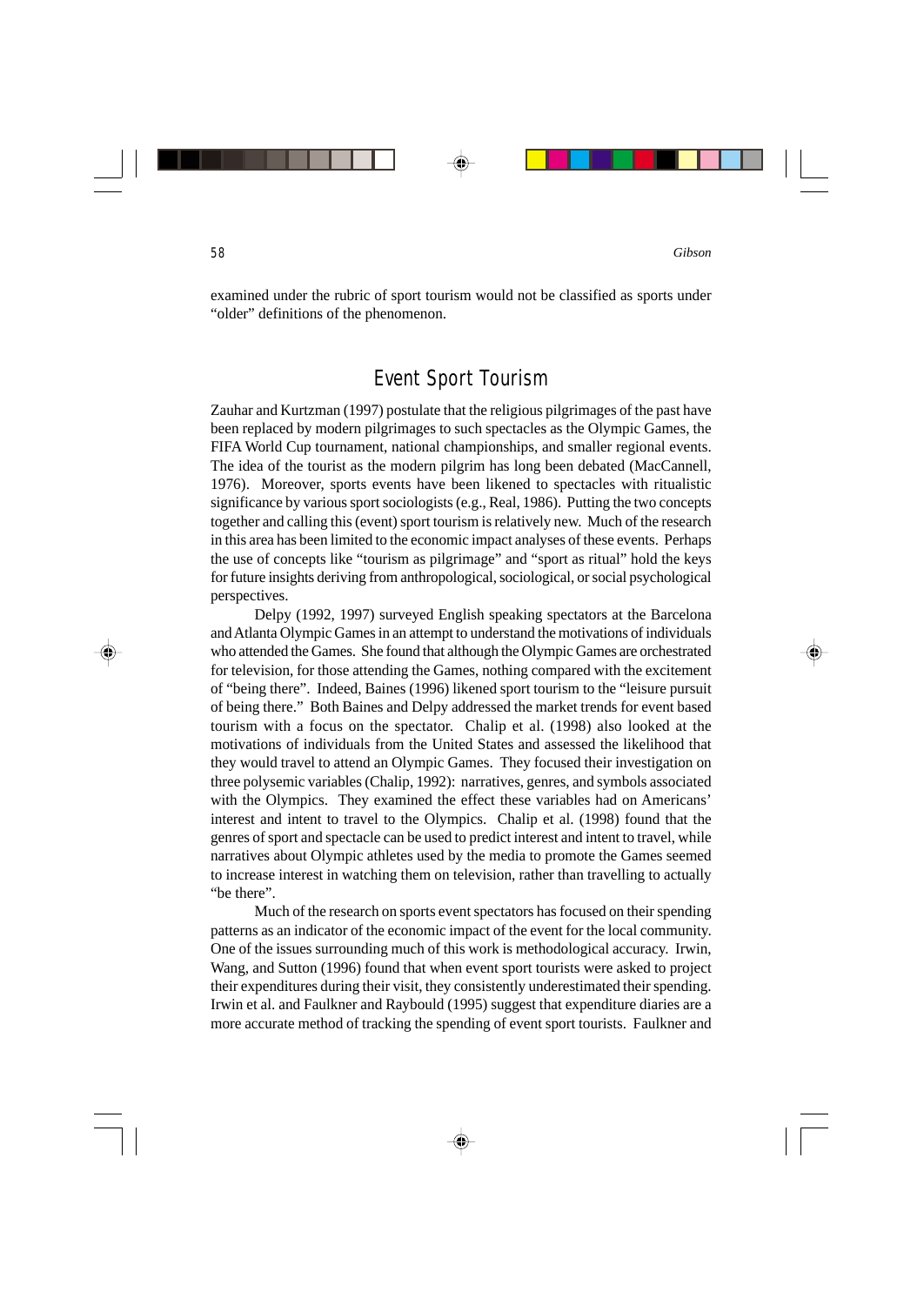examined under the rubric of sport tourism would not be classified as sports under "older" definitions of the phenomenon.

### Event Sport Tourism

Zauhar and Kurtzman (1997) postulate that the religious pilgrimages of the past have been replaced by modern pilgrimages to such spectacles as the Olympic Games, the FIFA World Cup tournament, national championships, and smaller regional events. The idea of the tourist as the modern pilgrim has long been debated (MacCannell, 1976). Moreover, sports events have been likened to spectacles with ritualistic significance by various sport sociologists (e.g., Real, 1986). Putting the two concepts together and calling this (event) sport tourism is relatively new. Much of the research in this area has been limited to the economic impact analyses of these events. Perhaps the use of concepts like "tourism as pilgrimage" and "sport as ritual" hold the keys for future insights deriving from anthropological, sociological, or social psychological perspectives.

Delpy (1992, 1997) surveyed English speaking spectators at the Barcelona and Atlanta Olympic Games in an attempt to understand the motivations of individuals who attended the Games. She found that although the Olympic Games are orchestrated for television, for those attending the Games, nothing compared with the excitement of "being there". Indeed, Baines (1996) likened sport tourism to the "leisure pursuit of being there." Both Baines and Delpy addressed the market trends for event based tourism with a focus on the spectator. Chalip et al. (1998) also looked at the motivations of individuals from the United States and assessed the likelihood that they would travel to attend an Olympic Games. They focused their investigation on three polysemic variables (Chalip, 1992): narratives, genres, and symbols associated with the Olympics. They examined the effect these variables had on Americans' interest and intent to travel to the Olympics. Chalip et al. (1998) found that the genres of sport and spectacle can be used to predict interest and intent to travel, while narratives about Olympic athletes used by the media to promote the Games seemed to increase interest in watching them on television, rather than travelling to actually "be there".

Much of the research on sports event spectators has focused on their spending patterns as an indicator of the economic impact of the event for the local community. One of the issues surrounding much of this work is methodological accuracy. Irwin, Wang, and Sutton (1996) found that when event sport tourists were asked to project their expenditures during their visit, they consistently underestimated their spending. Irwin et al. and Faulkner and Raybould (1995) suggest that expenditure diaries are a more accurate method of tracking the spending of event sport tourists. Faulkner and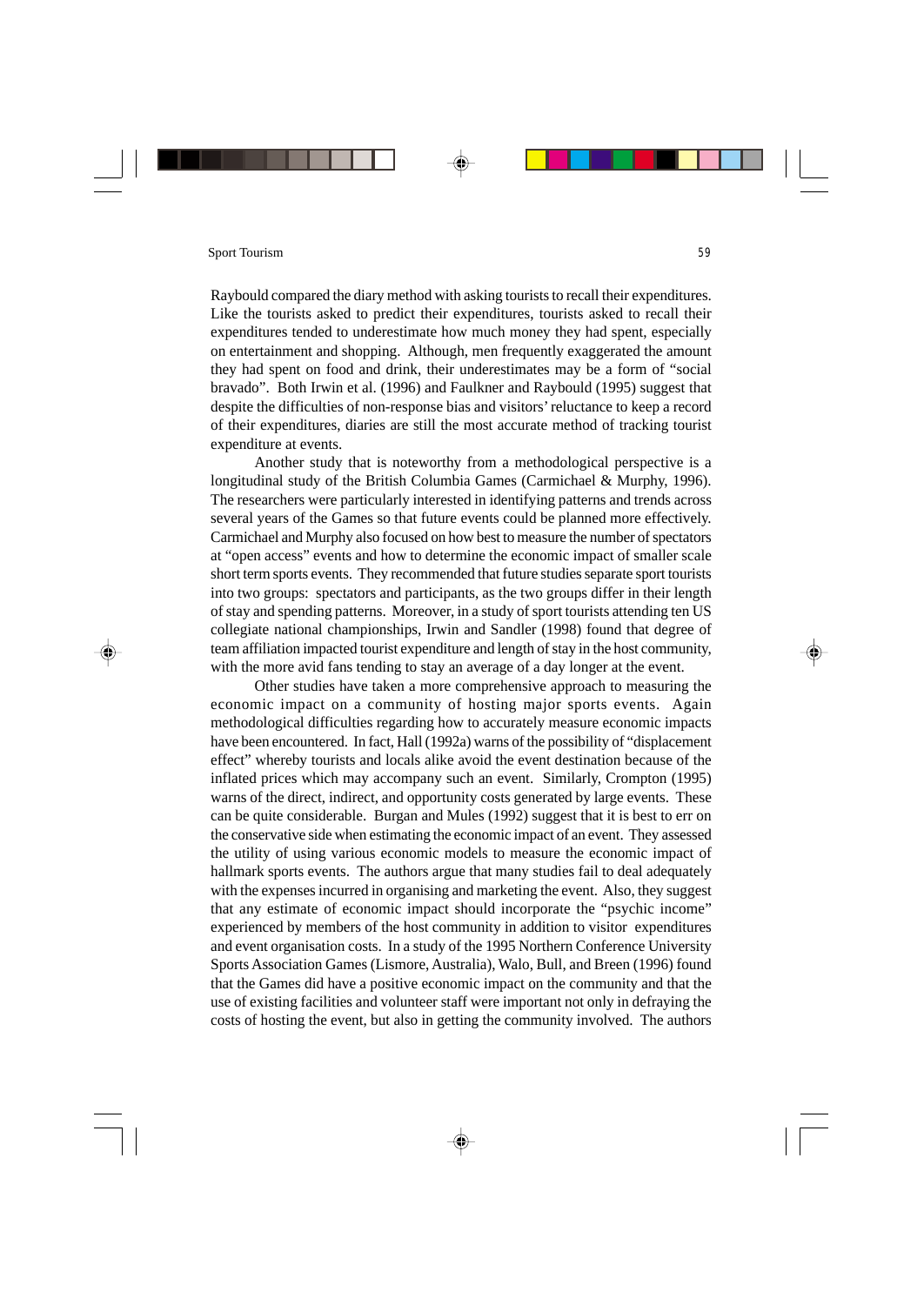Raybould compared the diary method with asking tourists to recall their expenditures. Like the tourists asked to predict their expenditures, tourists asked to recall their expenditures tended to underestimate how much money they had spent, especially on entertainment and shopping. Although, men frequently exaggerated the amount they had spent on food and drink, their underestimates may be a form of "social bravado". Both Irwin et al. (1996) and Faulkner and Raybould (1995) suggest that despite the difficulties of non-response bias and visitors' reluctance to keep a record of their expenditures, diaries are still the most accurate method of tracking tourist expenditure at events.

Another study that is noteworthy from a methodological perspective is a longitudinal study of the British Columbia Games (Carmichael & Murphy, 1996). The researchers were particularly interested in identifying patterns and trends across several years of the Games so that future events could be planned more effectively. Carmichael and Murphy also focused on how best to measure the number of spectators at "open access" events and how to determine the economic impact of smaller scale short term sports events. They recommended that future studies separate sport tourists into two groups: spectators and participants, as the two groups differ in their length of stay and spending patterns. Moreover, in a study of sport tourists attending ten US collegiate national championships, Irwin and Sandler (1998) found that degree of team affiliation impacted tourist expenditure and length of stay in the host community, with the more avid fans tending to stay an average of a day longer at the event.

Other studies have taken a more comprehensive approach to measuring the economic impact on a community of hosting major sports events. Again methodological difficulties regarding how to accurately measure economic impacts have been encountered. In fact, Hall (1992a) warns of the possibility of "displacement effect" whereby tourists and locals alike avoid the event destination because of the inflated prices which may accompany such an event. Similarly, Crompton (1995) warns of the direct, indirect, and opportunity costs generated by large events. These can be quite considerable. Burgan and Mules (1992) suggest that it is best to err on the conservative side when estimating the economic impact of an event. They assessed the utility of using various economic models to measure the economic impact of hallmark sports events. The authors argue that many studies fail to deal adequately with the expenses incurred in organising and marketing the event. Also, they suggest that any estimate of economic impact should incorporate the "psychic income" experienced by members of the host community in addition to visitor expenditures and event organisation costs. In a study of the 1995 Northern Conference University Sports Association Games (Lismore, Australia), Walo, Bull, and Breen (1996) found that the Games did have a positive economic impact on the community and that the use of existing facilities and volunteer staff were important not only in defraying the costs of hosting the event, but also in getting the community involved. The authors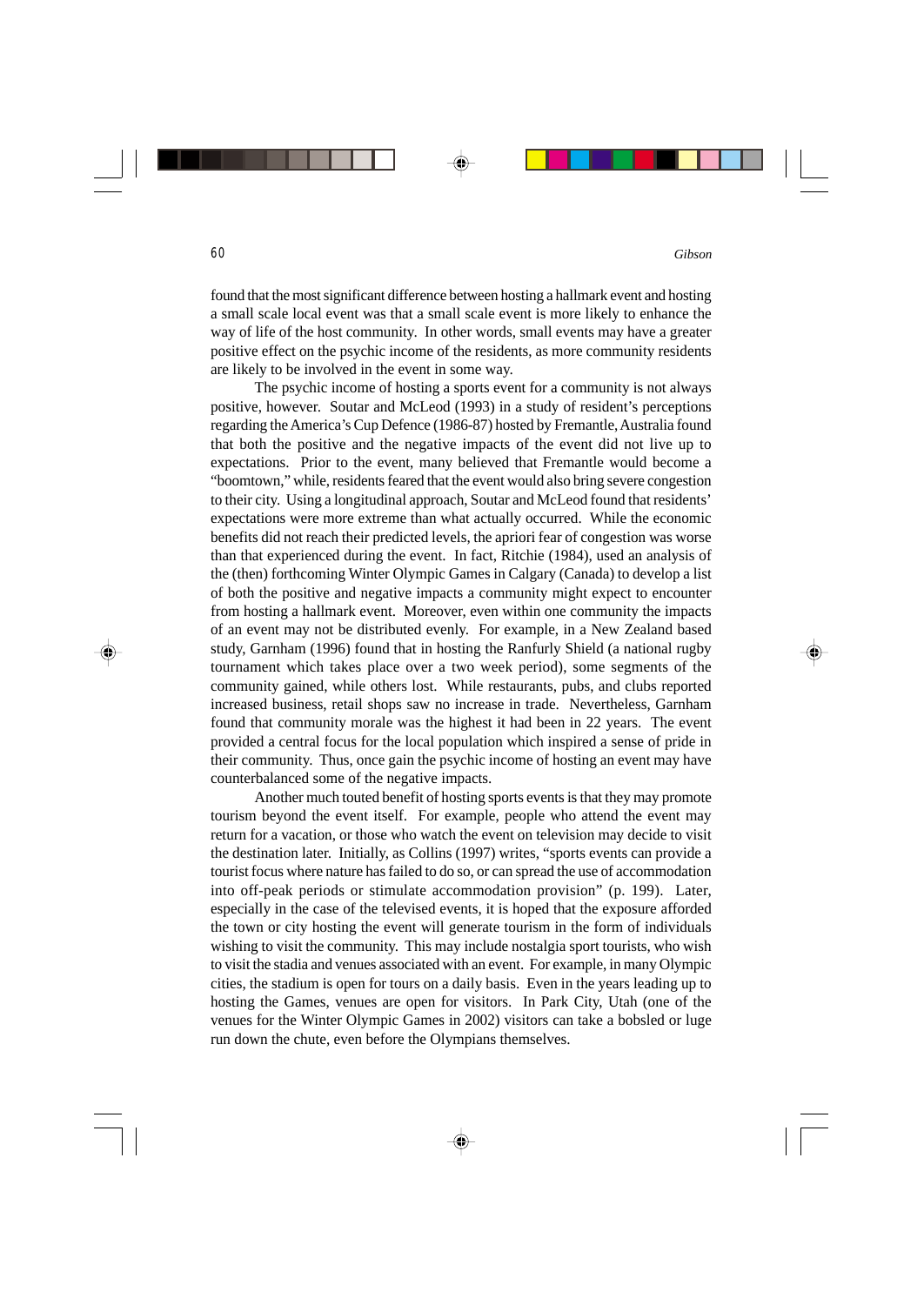found that the most significant difference between hosting a hallmark event and hosting a small scale local event was that a small scale event is more likely to enhance the way of life of the host community. In other words, small events may have a greater positive effect on the psychic income of the residents, as more community residents are likely to be involved in the event in some way.

The psychic income of hosting a sports event for a community is not always positive, however. Soutar and McLeod (1993) in a study of resident's perceptions regarding the America's Cup Defence (1986-87) hosted by Fremantle, Australia found that both the positive and the negative impacts of the event did not live up to expectations. Prior to the event, many believed that Fremantle would become a "boomtown," while, residents feared that the event would also bring severe congestion to their city. Using a longitudinal approach, Soutar and McLeod found that residents' expectations were more extreme than what actually occurred. While the economic benefits did not reach their predicted levels, the apriori fear of congestion was worse than that experienced during the event. In fact, Ritchie (1984), used an analysis of the (then) forthcoming Winter Olympic Games in Calgary (Canada) to develop a list of both the positive and negative impacts a community might expect to encounter from hosting a hallmark event. Moreover, even within one community the impacts of an event may not be distributed evenly. For example, in a New Zealand based study, Garnham (1996) found that in hosting the Ranfurly Shield (a national rugby tournament which takes place over a two week period), some segments of the community gained, while others lost. While restaurants, pubs, and clubs reported increased business, retail shops saw no increase in trade. Nevertheless, Garnham found that community morale was the highest it had been in 22 years. The event provided a central focus for the local population which inspired a sense of pride in their community. Thus, once gain the psychic income of hosting an event may have counterbalanced some of the negative impacts.

Another much touted benefit of hosting sports events is that they may promote tourism beyond the event itself. For example, people who attend the event may return for a vacation, or those who watch the event on television may decide to visit the destination later. Initially, as Collins (1997) writes, "sports events can provide a tourist focus where nature has failed to do so, or can spread the use of accommodation into off-peak periods or stimulate accommodation provision" (p. 199). Later, especially in the case of the televised events, it is hoped that the exposure afforded the town or city hosting the event will generate tourism in the form of individuals wishing to visit the community. This may include nostalgia sport tourists, who wish to visit the stadia and venues associated with an event. For example, in many Olympic cities, the stadium is open for tours on a daily basis. Even in the years leading up to hosting the Games, venues are open for visitors. In Park City, Utah (one of the venues for the Winter Olympic Games in 2002) visitors can take a bobsled or luge run down the chute, even before the Olympians themselves.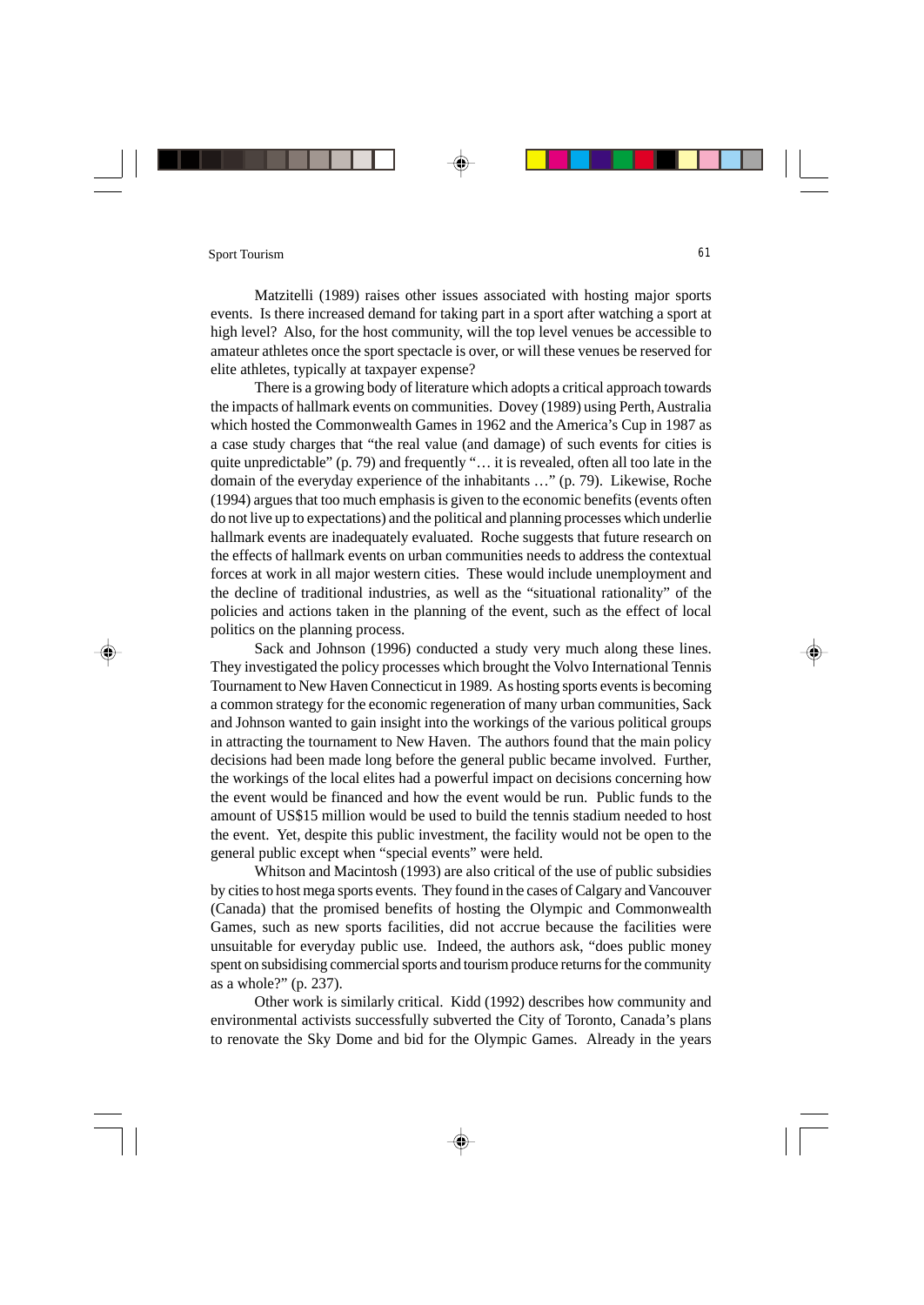Matzitelli (1989) raises other issues associated with hosting major sports events. Is there increased demand for taking part in a sport after watching a sport at high level? Also, for the host community, will the top level venues be accessible to amateur athletes once the sport spectacle is over, or will these venues be reserved for elite athletes, typically at taxpayer expense?

There is a growing body of literature which adopts a critical approach towards the impacts of hallmark events on communities. Dovey (1989) using Perth, Australia which hosted the Commonwealth Games in 1962 and the America's Cup in 1987 as a case study charges that "the real value (and damage) of such events for cities is quite unpredictable" (p. 79) and frequently "… it is revealed, often all too late in the domain of the everyday experience of the inhabitants …" (p. 79). Likewise, Roche (1994) argues that too much emphasis is given to the economic benefits (events often do not live up to expectations) and the political and planning processes which underlie hallmark events are inadequately evaluated. Roche suggests that future research on the effects of hallmark events on urban communities needs to address the contextual forces at work in all major western cities. These would include unemployment and the decline of traditional industries, as well as the "situational rationality" of the policies and actions taken in the planning of the event, such as the effect of local politics on the planning process.

Sack and Johnson (1996) conducted a study very much along these lines. They investigated the policy processes which brought the Volvo International Tennis Tournament to New Haven Connecticut in 1989. As hosting sports events is becoming a common strategy for the economic regeneration of many urban communities, Sack and Johnson wanted to gain insight into the workings of the various political groups in attracting the tournament to New Haven. The authors found that the main policy decisions had been made long before the general public became involved. Further, the workings of the local elites had a powerful impact on decisions concerning how the event would be financed and how the event would be run. Public funds to the amount of US\$15 million would be used to build the tennis stadium needed to host the event. Yet, despite this public investment, the facility would not be open to the general public except when "special events" were held.

Whitson and Macintosh (1993) are also critical of the use of public subsidies by cities to host mega sports events. They found in the cases of Calgary and Vancouver (Canada) that the promised benefits of hosting the Olympic and Commonwealth Games, such as new sports facilities, did not accrue because the facilities were unsuitable for everyday public use. Indeed, the authors ask, "does public money spent on subsidising commercial sports and tourism produce returns for the community as a whole?" (p. 237).

Other work is similarly critical. Kidd (1992) describes how community and environmental activists successfully subverted the City of Toronto, Canada's plans to renovate the Sky Dome and bid for the Olympic Games. Already in the years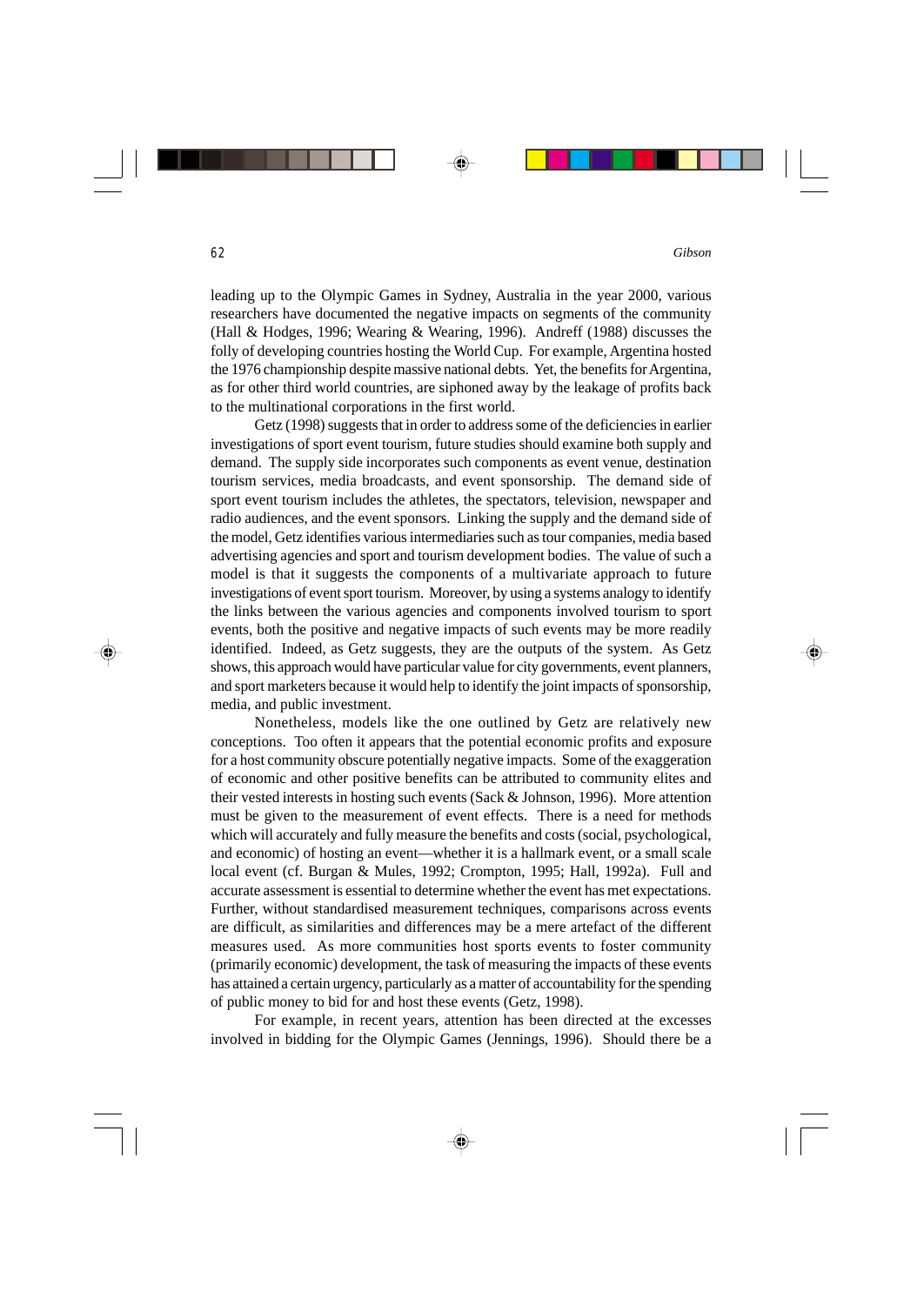leading up to the Olympic Games in Sydney, Australia in the year 2000, various researchers have documented the negative impacts on segments of the community (Hall & Hodges, 1996; Wearing & Wearing, 1996). Andreff (1988) discusses the folly of developing countries hosting the World Cup. For example, Argentina hosted the 1976 championship despite massive national debts. Yet, the benefits for Argentina, as for other third world countries, are siphoned away by the leakage of profits back to the multinational corporations in the first world.

Getz (1998) suggests that in order to address some of the deficiencies in earlier investigations of sport event tourism, future studies should examine both supply and demand. The supply side incorporates such components as event venue, destination tourism services, media broadcasts, and event sponsorship. The demand side of sport event tourism includes the athletes, the spectators, television, newspaper and radio audiences, and the event sponsors. Linking the supply and the demand side of the model, Getz identifies various intermediaries such as tour companies, media based advertising agencies and sport and tourism development bodies. The value of such a model is that it suggests the components of a multivariate approach to future investigations of event sport tourism. Moreover, by using a systems analogy to identify the links between the various agencies and components involved tourism to sport events, both the positive and negative impacts of such events may be more readily identified. Indeed, as Getz suggests, they are the outputs of the system. As Getz shows, this approach would have particular value for city governments, event planners, and sport marketers because it would help to identify the joint impacts of sponsorship, media, and public investment.

Nonetheless, models like the one outlined by Getz are relatively new conceptions. Too often it appears that the potential economic profits and exposure for a host community obscure potentially negative impacts. Some of the exaggeration of economic and other positive benefits can be attributed to community elites and their vested interests in hosting such events (Sack & Johnson, 1996). More attention must be given to the measurement of event effects. There is a need for methods which will accurately and fully measure the benefits and costs (social, psychological, and economic) of hosting an event—whether it is a hallmark event, or a small scale local event (cf. Burgan & Mules, 1992; Crompton, 1995; Hall, 1992a). Full and accurate assessment is essential to determine whether the event has met expectations. Further, without standardised measurement techniques, comparisons across events are difficult, as similarities and differences may be a mere artefact of the different measures used. As more communities host sports events to foster community (primarily economic) development, the task of measuring the impacts of these events has attained a certain urgency, particularly as a matter of accountability for the spending of public money to bid for and host these events (Getz, 1998).

For example, in recent years, attention has been directed at the excesses involved in bidding for the Olympic Games (Jennings, 1996). Should there be a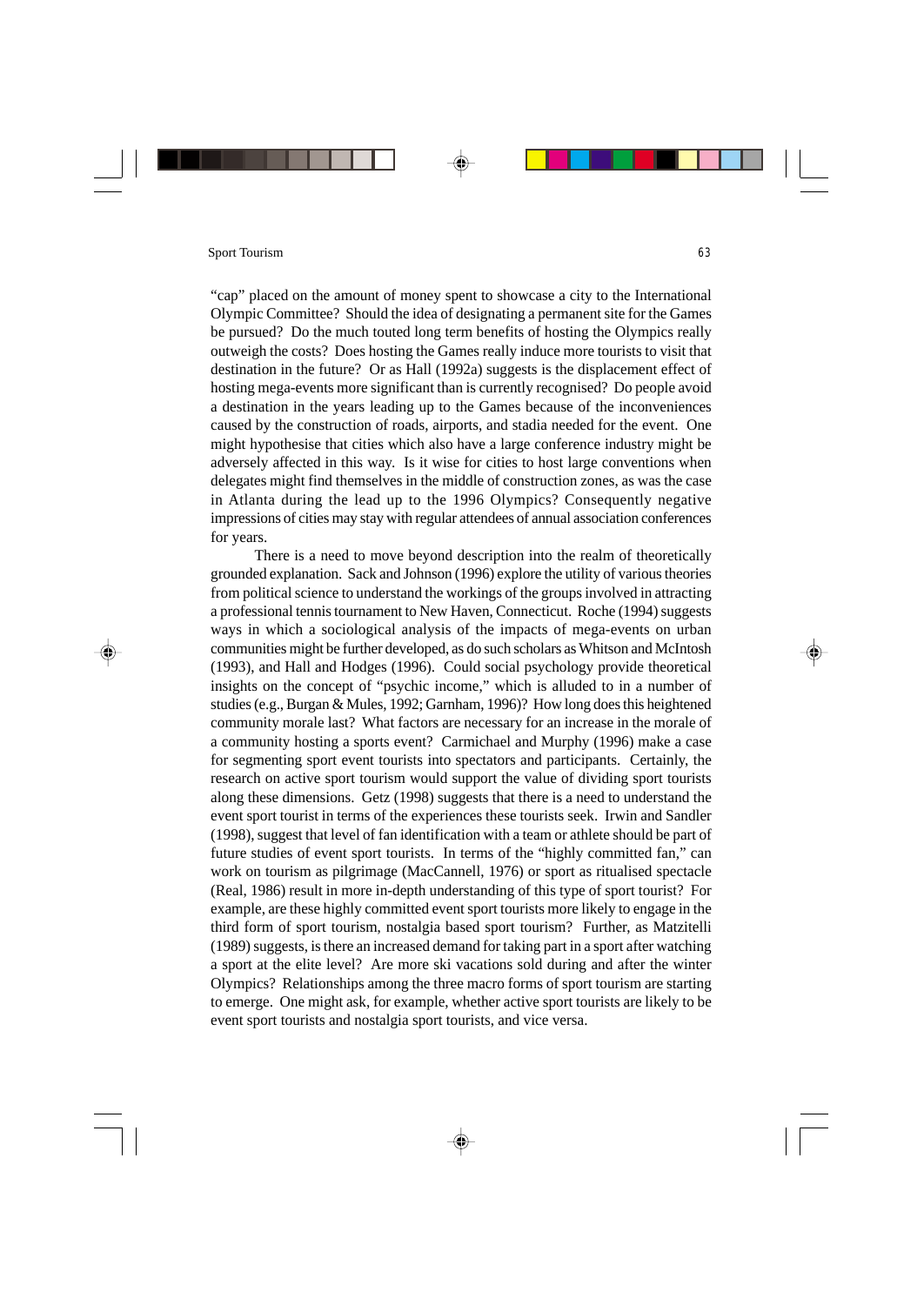"cap" placed on the amount of money spent to showcase a city to the International Olympic Committee? Should the idea of designating a permanent site for the Games be pursued? Do the much touted long term benefits of hosting the Olympics really outweigh the costs? Does hosting the Games really induce more tourists to visit that destination in the future? Or as Hall (1992a) suggests is the displacement effect of hosting mega-events more significant than is currently recognised? Do people avoid a destination in the years leading up to the Games because of the inconveniences caused by the construction of roads, airports, and stadia needed for the event. One might hypothesise that cities which also have a large conference industry might be adversely affected in this way. Is it wise for cities to host large conventions when delegates might find themselves in the middle of construction zones, as was the case in Atlanta during the lead up to the 1996 Olympics? Consequently negative impressions of cities may stay with regular attendees of annual association conferences for years.

There is a need to move beyond description into the realm of theoretically grounded explanation. Sack and Johnson (1996) explore the utility of various theories from political science to understand the workings of the groups involved in attracting a professional tennis tournament to New Haven, Connecticut. Roche (1994) suggests ways in which a sociological analysis of the impacts of mega-events on urban communities might be further developed, as do such scholars as Whitson and McIntosh (1993), and Hall and Hodges (1996). Could social psychology provide theoretical insights on the concept of "psychic income," which is alluded to in a number of studies (e.g., Burgan & Mules, 1992; Garnham, 1996)? How long does this heightened community morale last? What factors are necessary for an increase in the morale of a community hosting a sports event? Carmichael and Murphy (1996) make a case for segmenting sport event tourists into spectators and participants. Certainly, the research on active sport tourism would support the value of dividing sport tourists along these dimensions. Getz (1998) suggests that there is a need to understand the event sport tourist in terms of the experiences these tourists seek. Irwin and Sandler (1998), suggest that level of fan identification with a team or athlete should be part of future studies of event sport tourists. In terms of the "highly committed fan," can work on tourism as pilgrimage (MacCannell, 1976) or sport as ritualised spectacle (Real, 1986) result in more in-depth understanding of this type of sport tourist? For example, are these highly committed event sport tourists more likely to engage in the third form of sport tourism, nostalgia based sport tourism? Further, as Matzitelli (1989) suggests, is there an increased demand for taking part in a sport after watching a sport at the elite level? Are more ski vacations sold during and after the winter Olympics? Relationships among the three macro forms of sport tourism are starting to emerge. One might ask, for example, whether active sport tourists are likely to be event sport tourists and nostalgia sport tourists, and vice versa.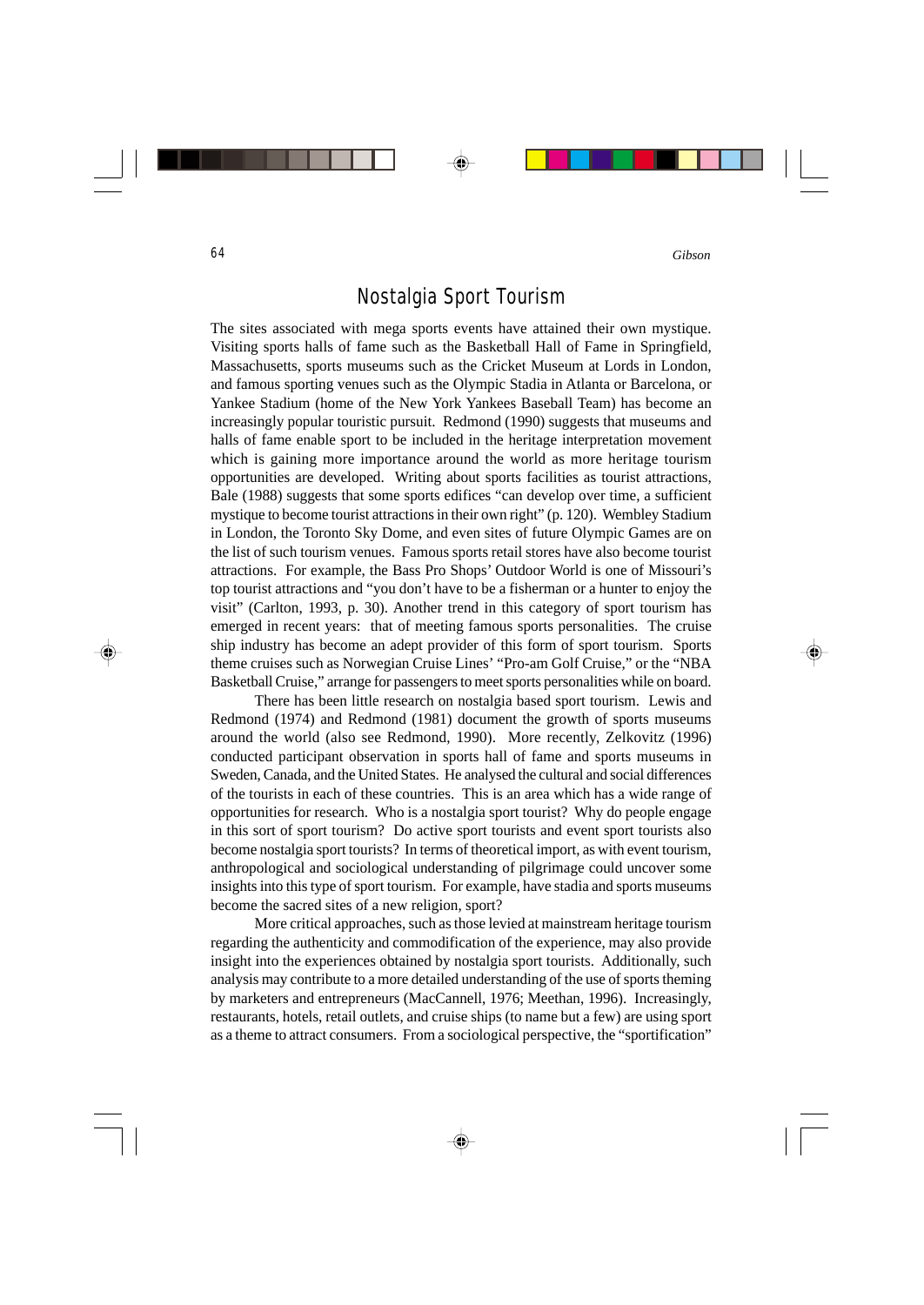## Nostalgia Sport Tourism

The sites associated with mega sports events have attained their own mystique. Visiting sports halls of fame such as the Basketball Hall of Fame in Springfield, Massachusetts, sports museums such as the Cricket Museum at Lords in London, and famous sporting venues such as the Olympic Stadia in Atlanta or Barcelona, or Yankee Stadium (home of the New York Yankees Baseball Team) has become an increasingly popular touristic pursuit. Redmond (1990) suggests that museums and halls of fame enable sport to be included in the heritage interpretation movement which is gaining more importance around the world as more heritage tourism opportunities are developed. Writing about sports facilities as tourist attractions, Bale (1988) suggests that some sports edifices "can develop over time, a sufficient mystique to become tourist attractions in their own right" (p. 120). Wembley Stadium in London, the Toronto Sky Dome, and even sites of future Olympic Games are on the list of such tourism venues. Famous sports retail stores have also become tourist attractions. For example, the Bass Pro Shops' Outdoor World is one of Missouri's top tourist attractions and "you don't have to be a fisherman or a hunter to enjoy the visit" (Carlton, 1993, p. 30). Another trend in this category of sport tourism has emerged in recent years: that of meeting famous sports personalities. The cruise ship industry has become an adept provider of this form of sport tourism. Sports theme cruises such as Norwegian Cruise Lines' "Pro-am Golf Cruise," or the "NBA Basketball Cruise," arrange for passengers to meet sports personalities while on board.

There has been little research on nostalgia based sport tourism. Lewis and Redmond (1974) and Redmond (1981) document the growth of sports museums around the world (also see Redmond, 1990). More recently, Zelkovitz (1996) conducted participant observation in sports hall of fame and sports museums in Sweden, Canada, and the United States. He analysed the cultural and social differences of the tourists in each of these countries. This is an area which has a wide range of opportunities for research. Who is a nostalgia sport tourist? Why do people engage in this sort of sport tourism? Do active sport tourists and event sport tourists also become nostalgia sport tourists? In terms of theoretical import, as with event tourism, anthropological and sociological understanding of pilgrimage could uncover some insights into this type of sport tourism. For example, have stadia and sports museums become the sacred sites of a new religion, sport?

More critical approaches, such as those levied at mainstream heritage tourism regarding the authenticity and commodification of the experience, may also provide insight into the experiences obtained by nostalgia sport tourists. Additionally, such analysis may contribute to a more detailed understanding of the use of sports theming by marketers and entrepreneurs (MacCannell, 1976; Meethan, 1996). Increasingly, restaurants, hotels, retail outlets, and cruise ships (to name but a few) are using sport as a theme to attract consumers. From a sociological perspective, the "sportification"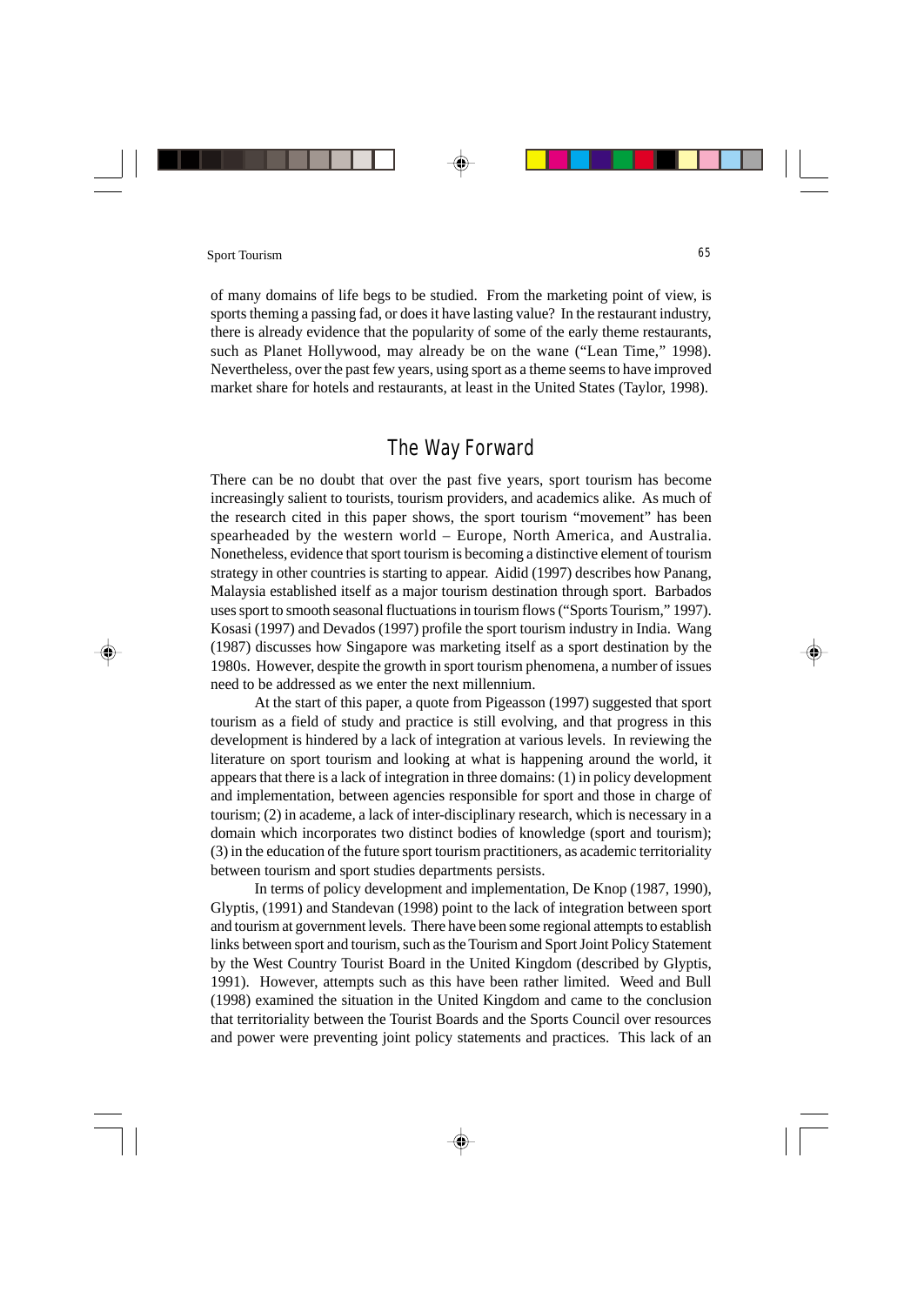of many domains of life begs to be studied. From the marketing point of view, is sports theming a passing fad, or does it have lasting value? In the restaurant industry, there is already evidence that the popularity of some of the early theme restaurants, such as Planet Hollywood, may already be on the wane ("Lean Time," 1998). Nevertheless, over the past few years, using sport as a theme seems to have improved market share for hotels and restaurants, at least in the United States (Taylor, 1998).

## The Way Forward

There can be no doubt that over the past five years, sport tourism has become increasingly salient to tourists, tourism providers, and academics alike. As much of the research cited in this paper shows, the sport tourism "movement" has been spearheaded by the western world – Europe, North America, and Australia. Nonetheless, evidence that sport tourism is becoming a distinctive element of tourism strategy in other countries is starting to appear. Aidid (1997) describes how Panang, Malaysia established itself as a major tourism destination through sport. Barbados uses sport to smooth seasonal fluctuations in tourism flows ("Sports Tourism," 1997). Kosasi (1997) and Devados (1997) profile the sport tourism industry in India. Wang (1987) discusses how Singapore was marketing itself as a sport destination by the 1980s. However, despite the growth in sport tourism phenomena, a number of issues need to be addressed as we enter the next millennium.

At the start of this paper, a quote from Pigeasson (1997) suggested that sport tourism as a field of study and practice is still evolving, and that progress in this development is hindered by a lack of integration at various levels. In reviewing the literature on sport tourism and looking at what is happening around the world, it appears that there is a lack of integration in three domains: (1) in policy development and implementation, between agencies responsible for sport and those in charge of tourism; (2) in academe, a lack of inter-disciplinary research, which is necessary in a domain which incorporates two distinct bodies of knowledge (sport and tourism); (3) in the education of the future sport tourism practitioners, as academic territoriality between tourism and sport studies departments persists.

In terms of policy development and implementation, De Knop (1987, 1990), Glyptis, (1991) and Standevan (1998) point to the lack of integration between sport and tourism at government levels. There have been some regional attempts to establish links between sport and tourism, such as the Tourism and Sport Joint Policy Statement by the West Country Tourist Board in the United Kingdom (described by Glyptis, 1991). However, attempts such as this have been rather limited. Weed and Bull (1998) examined the situation in the United Kingdom and came to the conclusion that territoriality between the Tourist Boards and the Sports Council over resources and power were preventing joint policy statements and practices. This lack of an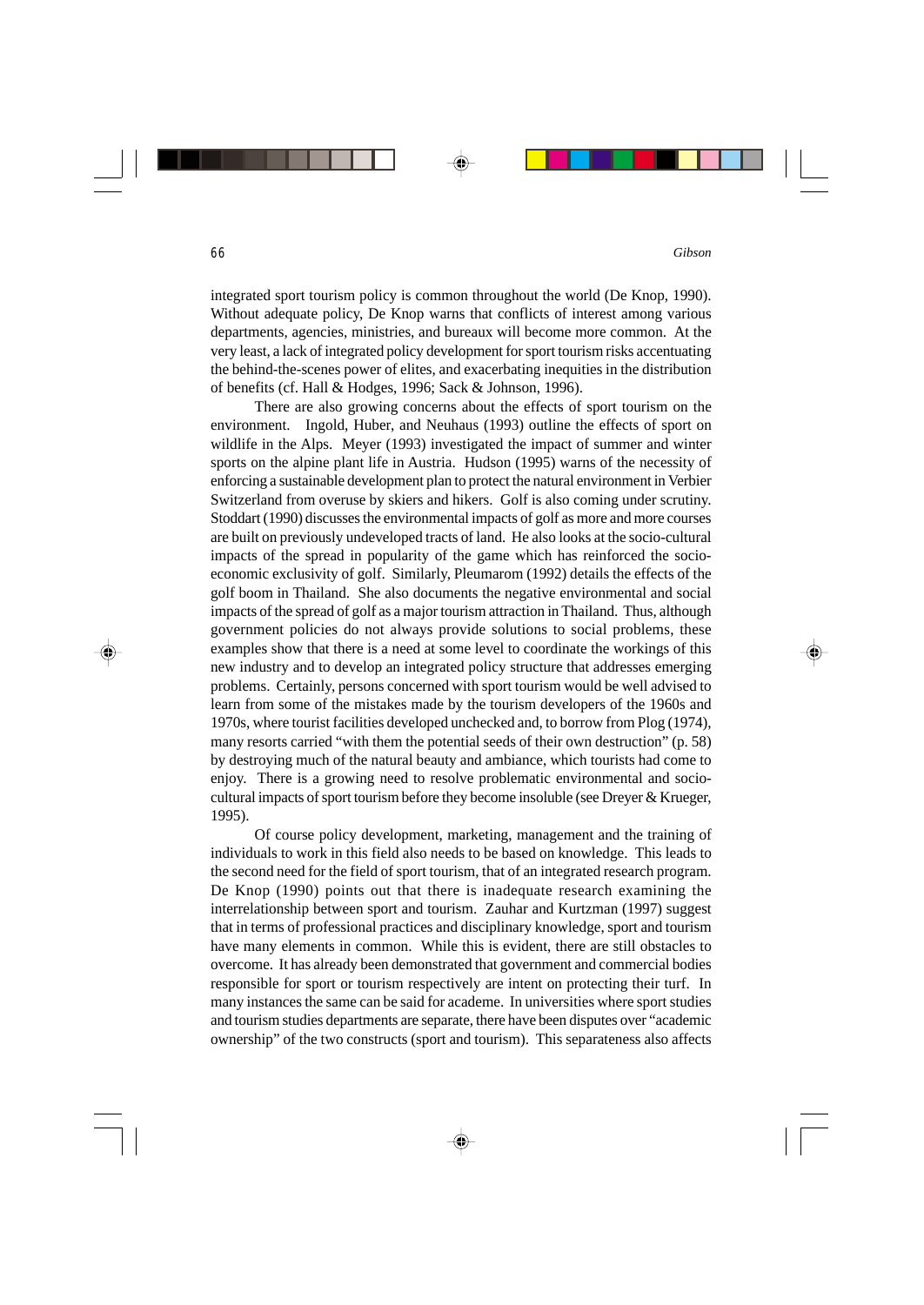integrated sport tourism policy is common throughout the world (De Knop, 1990). Without adequate policy. De Knop warns that conflicts of interest among various departments, agencies, ministries, and bureaux will become more common. At the very least, a lack of integrated policy development for sport tourism risks accentuating the behind-the-scenes power of elites, and exacerbating inequities in the distribution of benefits (cf. Hall & Hodges, 1996; Sack & Johnson, 1996).

There are also growing concerns about the effects of sport tourism on the environment. Ingold, Huber, and Neuhaus (1993) outline the effects of sport on wildlife in the Alps. Meyer (1993) investigated the impact of summer and winter sports on the alpine plant life in Austria. Hudson (1995) warns of the necessity of enforcing a sustainable development plan to protect the natural environment in Verbier Switzerland from overuse by skiers and hikers. Golf is also coming under scrutiny. Stoddart (1990) discusses the environmental impacts of golf as more and more courses are built on previously undeveloped tracts of land. He also looks at the socio-cultural impacts of the spread in popularity of the game which has reinforced the socioeconomic exclusivity of golf. Similarly, Pleumarom (1992) details the effects of the golf boom in Thailand. She also documents the negative environmental and social impacts of the spread of golf as a major tourism attraction in Thailand. Thus, although government policies do not always provide solutions to social problems, these examples show that there is a need at some level to coordinate the workings of this new industry and to develop an integrated policy structure that addresses emerging problems. Certainly, persons concerned with sport tourism would be well advised to learn from some of the mistakes made by the tourism developers of the 1960s and 1970s, where tourist facilities developed unchecked and, to borrow from Plog (1974), many resorts carried "with them the potential seeds of their own destruction" (p. 58) by destroying much of the natural beauty and ambiance, which tourists had come to enjoy. There is a growing need to resolve problematic environmental and sociocultural impacts of sport tourism before they become insoluble (see Dreyer & Krueger, 1995).

Of course policy development, marketing, management and the training of individuals to work in this field also needs to be based on knowledge. This leads to the second need for the field of sport tourism, that of an integrated research program. De Knop (1990) points out that there is inadequate research examining the interrelationship between sport and tourism. Zauhar and Kurtzman (1997) suggest that in terms of professional practices and disciplinary knowledge, sport and tourism have many elements in common. While this is evident, there are still obstacles to overcome. It has already been demonstrated that government and commercial bodies responsible for sport or tourism respectively are intent on protecting their turf. In many instances the same can be said for academe. In universities where sport studies and tourism studies departments are separate, there have been disputes over "academic ownership" of the two constructs (sport and tourism). This separateness also affects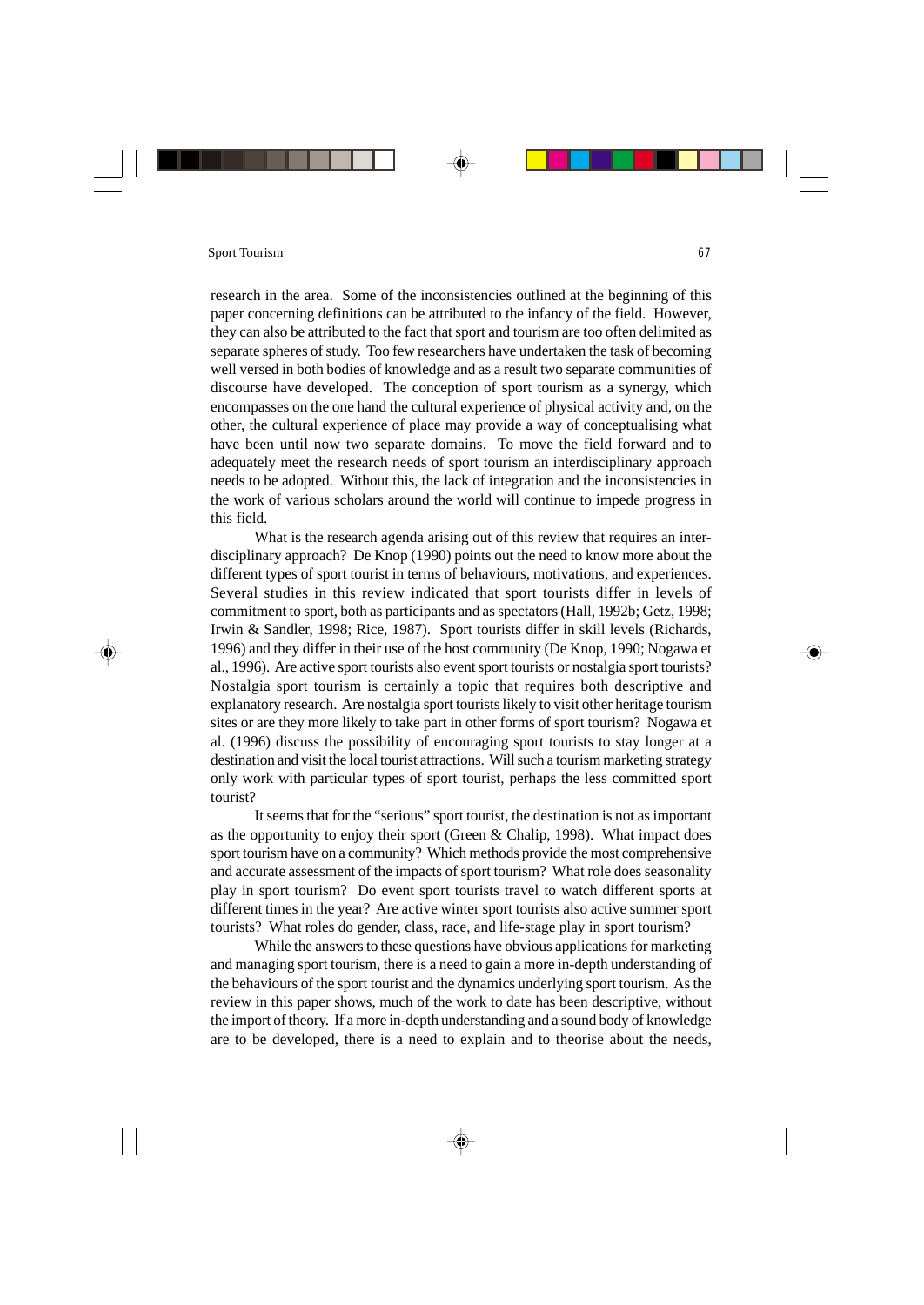research in the area. Some of the inconsistencies outlined at the beginning of this paper concerning definitions can be attributed to the infancy of the field. However, they can also be attributed to the fact that sport and tourism are too often delimited as separate spheres of study. Too few researchers have undertaken the task of becoming well versed in both bodies of knowledge and as a result two separate communities of discourse have developed. The conception of sport tourism as a synergy, which encompasses on the one hand the cultural experience of physical activity and, on the other, the cultural experience of place may provide a way of conceptualising what have been until now two separate domains. To move the field forward and to adequately meet the research needs of sport tourism an interdisciplinary approach needs to be adopted. Without this, the lack of integration and the inconsistencies in the work of various scholars around the world will continue to impede progress in this field.

What is the research agenda arising out of this review that requires an interdisciplinary approach? De Knop (1990) points out the need to know more about the different types of sport tourist in terms of behaviours, motivations, and experiences. Several studies in this review indicated that sport tourists differ in levels of commitment to sport, both as participants and as spectators (Hall, 1992b; Getz, 1998; Irwin & Sandler, 1998; Rice, 1987). Sport tourists differ in skill levels (Richards, 1996) and they differ in their use of the host community (De Knop, 1990; Nogawa et al., 1996). Are active sport tourists also event sport tourists or nostalgia sport tourists? Nostalgia sport tourism is certainly a topic that requires both descriptive and explanatory research. Are nostalgia sport tourists likely to visit other heritage tourism sites or are they more likely to take part in other forms of sport tourism? Nogawa et al. (1996) discuss the possibility of encouraging sport tourists to stay longer at a destination and visit the local tourist attractions. Will such a tourism marketing strategy only work with particular types of sport tourist, perhaps the less committed sport tourist?

It seems that for the "serious" sport tourist, the destination is not as important as the opportunity to enjoy their sport (Green & Chalip, 1998). What impact does sport tourism have on a community? Which methods provide the most comprehensive and accurate assessment of the impacts of sport tourism? What role does seasonality play in sport tourism? Do event sport tourists travel to watch different sports at different times in the year? Are active winter sport tourists also active summer sport tourists? What roles do gender, class, race, and life-stage play in sport tourism?

While the answers to these questions have obvious applications for marketing and managing sport tourism, there is a need to gain a more in-depth understanding of the behaviours of the sport tourist and the dynamics underlying sport tourism. As the review in this paper shows, much of the work to date has been descriptive, without the import of theory. If a more in-depth understanding and a sound body of knowledge are to be developed, there is a need to explain and to theorise about the needs,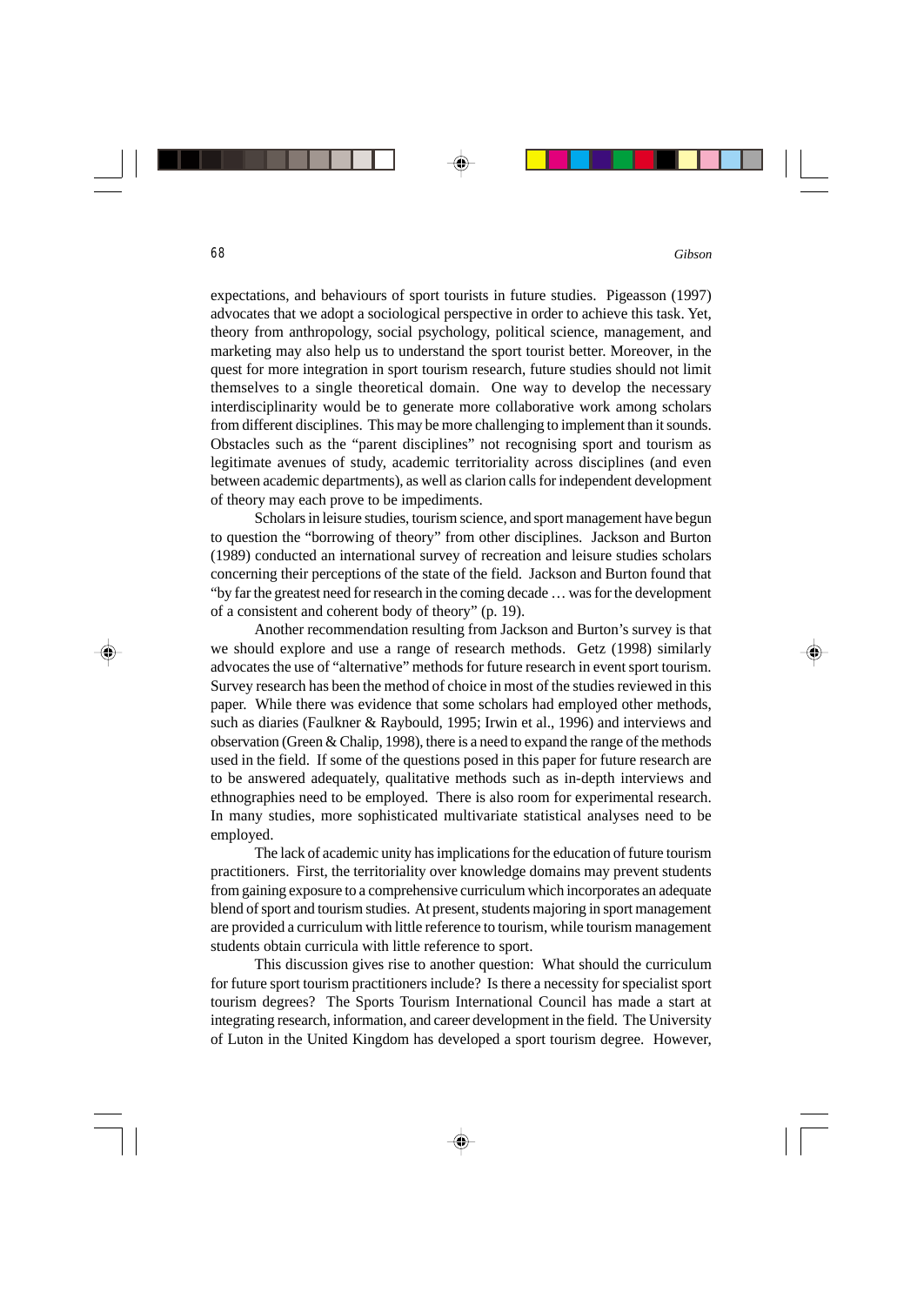expectations, and behaviours of sport tourists in future studies. Pigeasson (1997) advocates that we adopt a sociological perspective in order to achieve this task. Yet, theory from anthropology, social psychology, political science, management, and marketing may also help us to understand the sport tourist better. Moreover, in the quest for more integration in sport tourism research, future studies should not limit themselves to a single theoretical domain. One way to develop the necessary interdisciplinarity would be to generate more collaborative work among scholars from different disciplines. This may be more challenging to implement than it sounds. Obstacles such as the "parent disciplines" not recognising sport and tourism as legitimate avenues of study, academic territoriality across disciplines (and even between academic departments), as well as clarion calls for independent development of theory may each prove to be impediments.

Scholars in leisure studies, tourism science, and sport management have begun to question the "borrowing of theory" from other disciplines. Jackson and Burton (1989) conducted an international survey of recreation and leisure studies scholars concerning their perceptions of the state of the field. Jackson and Burton found that "by far the greatest need for research in the coming decade … was for the development of a consistent and coherent body of theory" (p. 19).

Another recommendation resulting from Jackson and Burton's survey is that we should explore and use a range of research methods. Getz (1998) similarly advocates the use of "alternative" methods for future research in event sport tourism. Survey research has been the method of choice in most of the studies reviewed in this paper. While there was evidence that some scholars had employed other methods, such as diaries (Faulkner & Raybould, 1995; Irwin et al., 1996) and interviews and observation (Green & Chalip, 1998), there is a need to expand the range of the methods used in the field. If some of the questions posed in this paper for future research are to be answered adequately, qualitative methods such as in-depth interviews and ethnographies need to be employed. There is also room for experimental research. In many studies, more sophisticated multivariate statistical analyses need to be employed.

The lack of academic unity has implications for the education of future tourism practitioners. First, the territoriality over knowledge domains may prevent students from gaining exposure to a comprehensive curriculum which incorporates an adequate blend of sport and tourism studies. At present, students majoring in sport management are provided a curriculum with little reference to tourism, while tourism management students obtain curricula with little reference to sport.

This discussion gives rise to another question: What should the curriculum for future sport tourism practitioners include? Is there a necessity for specialist sport tourism degrees? The Sports Tourism International Council has made a start at integrating research, information, and career development in the field. The University of Luton in the United Kingdom has developed a sport tourism degree. However,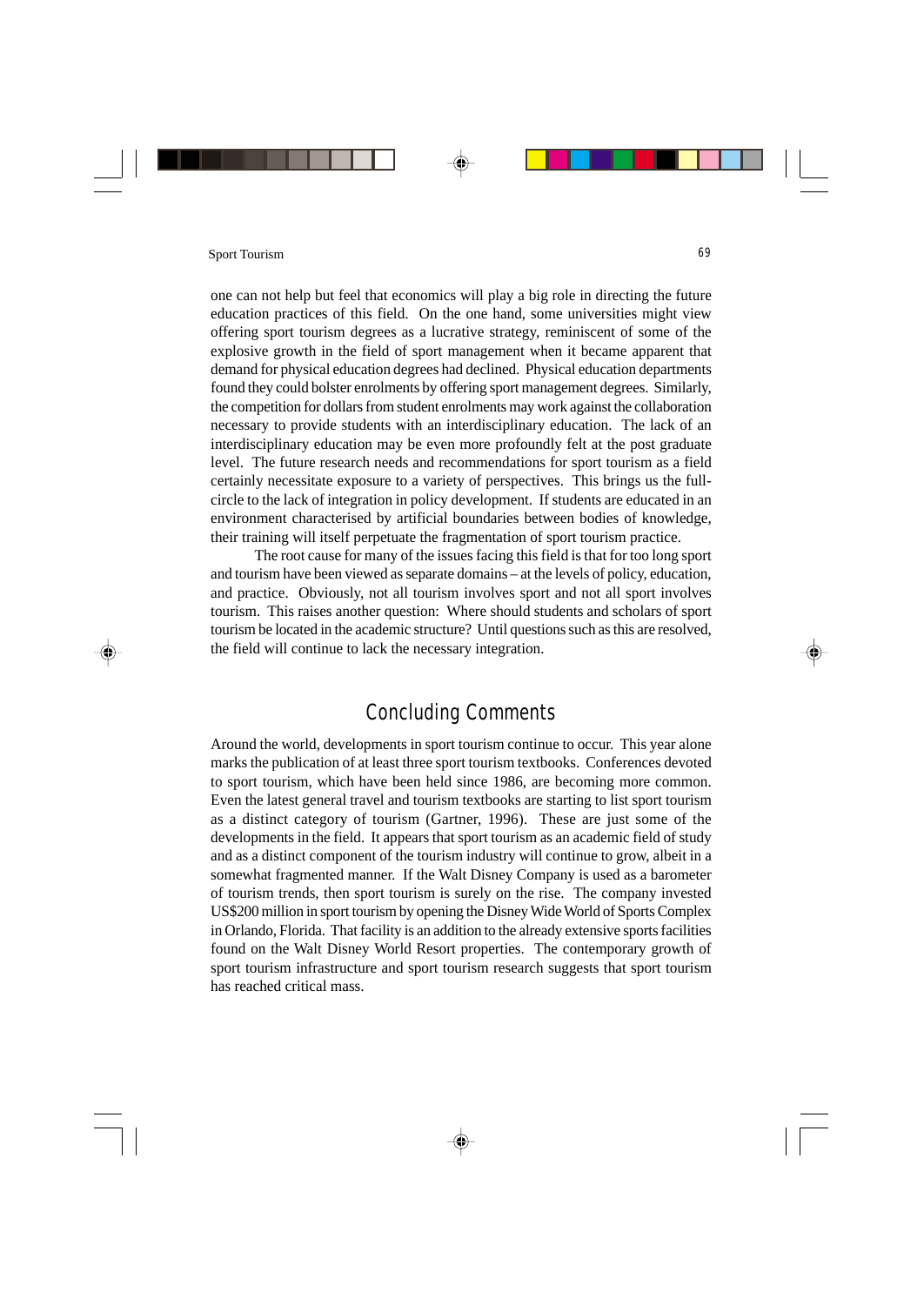one can not help but feel that economics will play a big role in directing the future education practices of this field. On the one hand, some universities might view offering sport tourism degrees as a lucrative strategy, reminiscent of some of the explosive growth in the field of sport management when it became apparent that demand for physical education degrees had declined. Physical education departments found they could bolster enrolments by offering sport management degrees. Similarly, the competition for dollars from student enrolments may work against the collaboration necessary to provide students with an interdisciplinary education. The lack of an interdisciplinary education may be even more profoundly felt at the post graduate level. The future research needs and recommendations for sport tourism as a field certainly necessitate exposure to a variety of perspectives. This brings us the fullcircle to the lack of integration in policy development. If students are educated in an environment characterised by artificial boundaries between bodies of knowledge, their training will itself perpetuate the fragmentation of sport tourism practice.

The root cause for many of the issues facing this field is that for too long sport and tourism have been viewed as separate domains – at the levels of policy, education, and practice. Obviously, not all tourism involves sport and not all sport involves tourism. This raises another question: Where should students and scholars of sport tourism be located in the academic structure? Until questions such as this are resolved, the field will continue to lack the necessary integration.

## Concluding Comments

Around the world, developments in sport tourism continue to occur. This year alone marks the publication of at least three sport tourism textbooks. Conferences devoted to sport tourism, which have been held since 1986, are becoming more common. Even the latest general travel and tourism textbooks are starting to list sport tourism as a distinct category of tourism (Gartner, 1996). These are just some of the developments in the field. It appears that sport tourism as an academic field of study and as a distinct component of the tourism industry will continue to grow, albeit in a somewhat fragmented manner. If the Walt Disney Company is used as a barometer of tourism trends, then sport tourism is surely on the rise. The company invested US\$200 million in sport tourism by opening the Disney Wide World of Sports Complex in Orlando, Florida. That facility is an addition to the already extensive sports facilities found on the Walt Disney World Resort properties. The contemporary growth of sport tourism infrastructure and sport tourism research suggests that sport tourism has reached critical mass.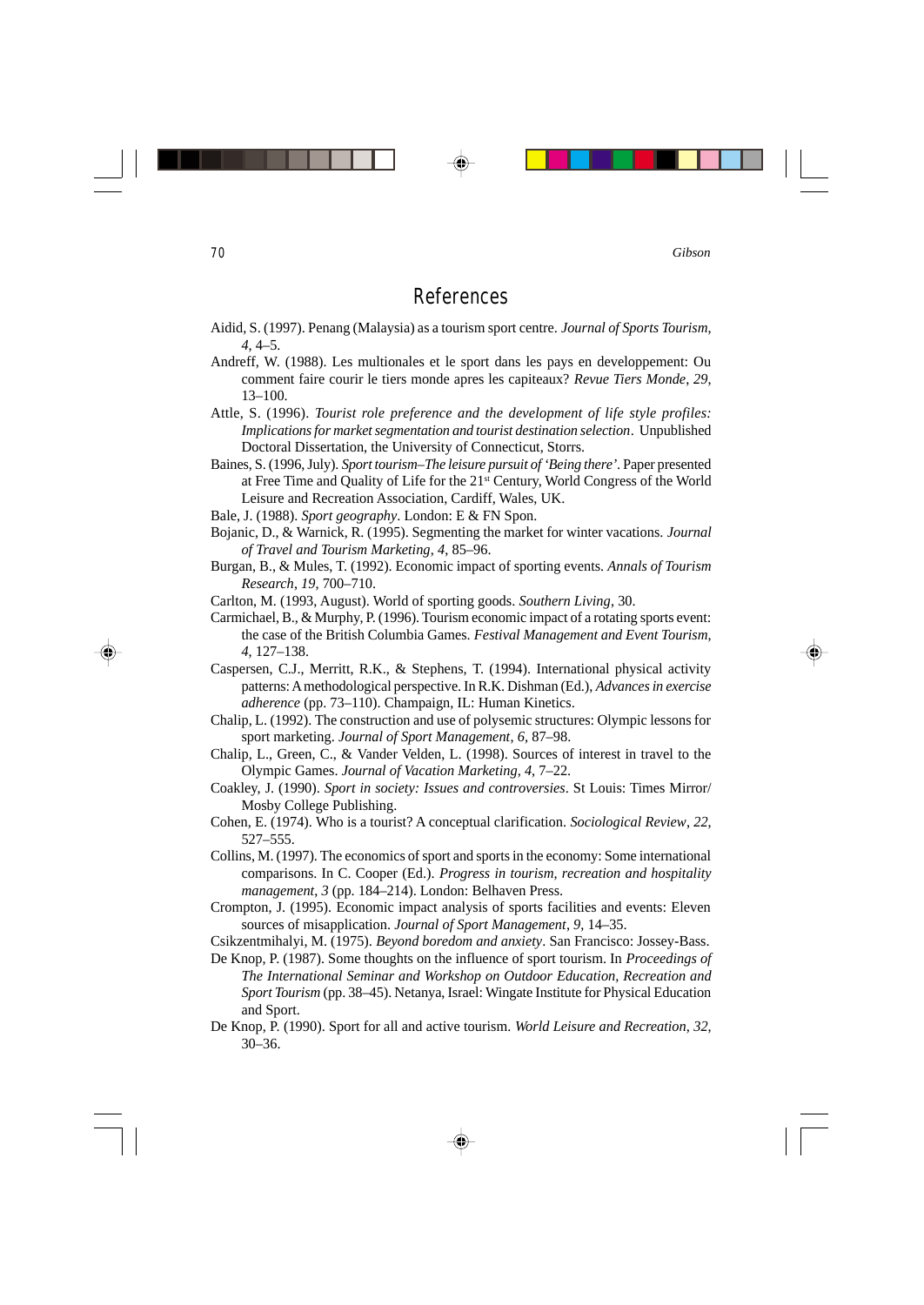## References

- Aidid, S. (1997). Penang (Malaysia) as a tourism sport centre. *Journal of Sports Tourism*, *4*, 4–5.
- Andreff, W. (1988). Les multionales et le sport dans les pays en developpement: Ou comment faire courir le tiers monde apres les capiteaux? *Revue Tiers Monde*, *29*, 13–100.
- Attle, S. (1996). *Tourist role preference and the development of life style profiles: Implications for market segmentation and tourist destination selection*. Unpublished Doctoral Dissertation, the University of Connecticut, Storrs.
- Baines, S. (1996, July). *Sport tourism–The leisure pursuit of 'Being there'*. Paper presented at Free Time and Quality of Life for the 21st Century, World Congress of the World Leisure and Recreation Association, Cardiff, Wales, UK.
- Bale, J. (1988). *Sport geography*. London: E & FN Spon.
- Bojanic, D., & Warnick, R. (1995). Segmenting the market for winter vacations. *Journal of Travel and Tourism Marketing*, *4*, 85–96.
- Burgan, B., & Mules, T. (1992). Economic impact of sporting events. *Annals of Tourism Research*, *19*, 700–710.
- Carlton, M. (1993, August). World of sporting goods. *Southern Living*, 30.
- Carmichael, B., & Murphy, P. (1996). Tourism economic impact of a rotating sports event: the case of the British Columbia Games. *Festival Management and Event Tourism*, *4*, 127–138.
- Caspersen, C.J., Merritt, R.K., & Stephens, T. (1994). International physical activity patterns: A methodological perspective. In R.K. Dishman (Ed.), *Advances in exercise adherence* (pp. 73–110). Champaign, IL: Human Kinetics.
- Chalip, L. (1992). The construction and use of polysemic structures: Olympic lessons for sport marketing. *Journal of Sport Management*, *6*, 87–98.
- Chalip, L., Green, C., & Vander Velden, L. (1998). Sources of interest in travel to the Olympic Games. *Journal of Vacation Marketing*, *4*, 7–22.
- Coakley, J. (1990). *Sport in society: Issues and controversies*. St Louis: Times Mirror/ Mosby College Publishing.
- Cohen, E. (1974). Who is a tourist? A conceptual clarification. *Sociological Review*, *22*, 527–555.
- Collins, M. (1997). The economics of sport and sports in the economy: Some international comparisons. In C. Cooper (Ed.). *Progress in tourism, recreation and hospitality management*, *3* (pp. 184–214). London: Belhaven Press.
- Crompton, J. (1995). Economic impact analysis of sports facilities and events: Eleven sources of misapplication. *Journal of Sport Management*, *9*, 14–35.
- Csikzentmihalyi, M. (1975). *Beyond boredom and anxiety*. San Francisco: Jossey-Bass.
- De Knop, P. (1987). Some thoughts on the influence of sport tourism. In *Proceedings of The International Seminar and Workshop on Outdoor Education, Recreation and Sport Tourism* (pp. 38–45). Netanya, Israel: Wingate Institute for Physical Education and Sport.
- De Knop, P. (1990). Sport for all and active tourism. *World Leisure and Recreation*, *32*, 30–36.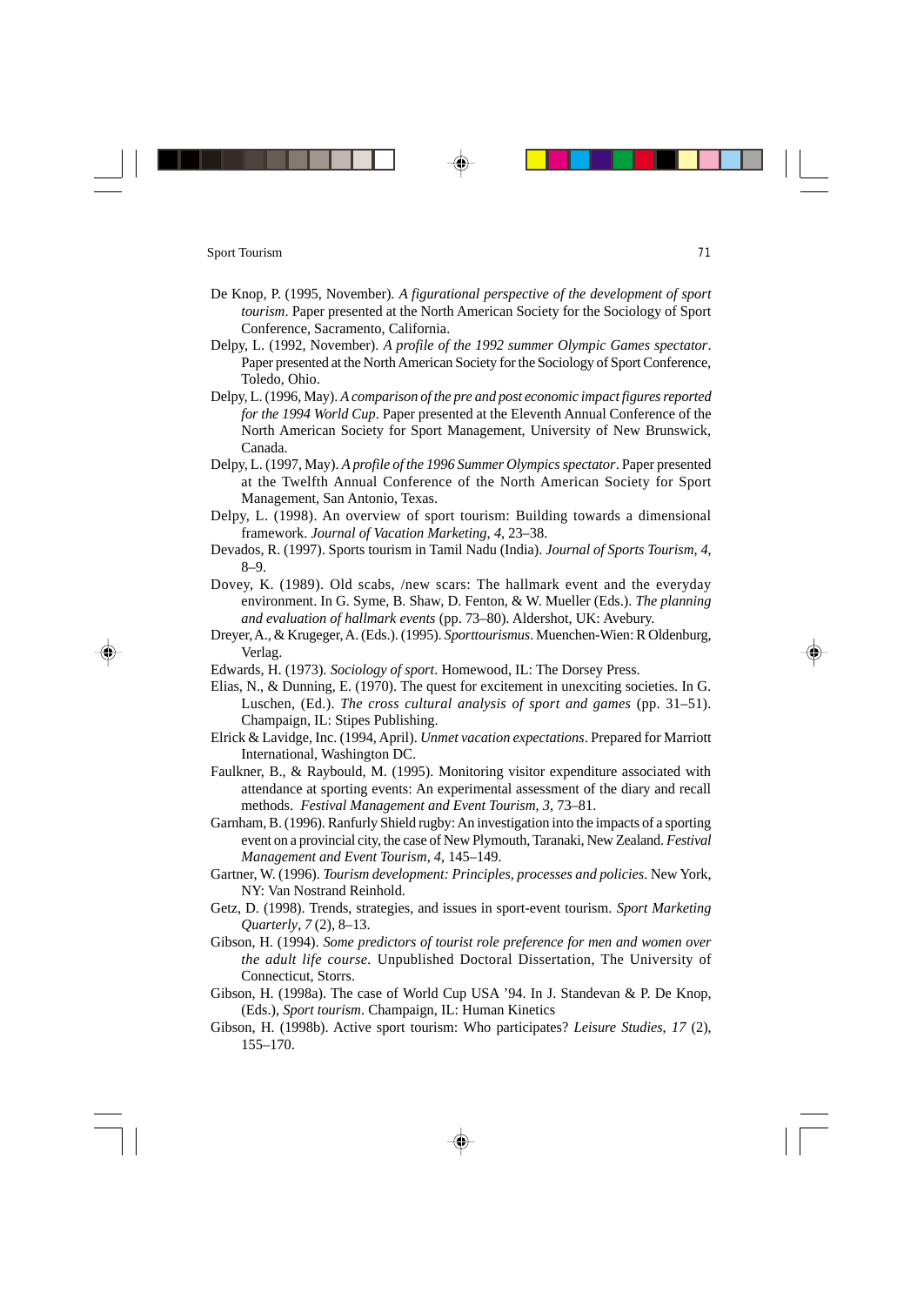- De Knop, P. (1995, November). *A figurational perspective of the development of sport tourism*. Paper presented at the North American Society for the Sociology of Sport Conference, Sacramento, California.
- Delpy, L. (1992, November). *A profile of the 1992 summer Olympic Games spectator*. Paper presented at the North American Society for the Sociology of Sport Conference, Toledo, Ohio.
- Delpy, L. (1996, May). *A comparison of the pre and post economic impact figures reported for the 1994 World Cup*. Paper presented at the Eleventh Annual Conference of the North American Society for Sport Management, University of New Brunswick, Canada.
- Delpy, L. (1997, May). *A profile of the 1996 Summer Olympics spectator*. Paper presented at the Twelfth Annual Conference of the North American Society for Sport Management, San Antonio, Texas.
- Delpy, L. (1998). An overview of sport tourism: Building towards a dimensional framework. *Journal of Vacation Marketing*, *4*, 23–38.
- Devados, R. (1997). Sports tourism in Tamil Nadu (India). *Journal of Sports Tourism*, *4*, 8–9.
- Dovey, K. (1989). Old scabs, /new scars: The hallmark event and the everyday environment. In G. Syme, B. Shaw, D. Fenton, & W. Mueller (Eds.). *The planning and evaluation of hallmark events* (pp. 73–80). Aldershot, UK: Avebury.
- Dreyer, A., & Krugeger, A. (Eds.). (1995). *Sporttourismus*. Muenchen-Wien: R Oldenburg, Verlag.
- Edwards, H. (1973). *Sociology of sport*. Homewood, IL: The Dorsey Press.
- Elias, N., & Dunning, E. (1970). The quest for excitement in unexciting societies. In G. Luschen, (Ed.). *The cross cultural analysis of sport and games* (pp. 31–51). Champaign, IL: Stipes Publishing.
- Elrick & Lavidge, Inc. (1994, April). *Unmet vacation expectations*. Prepared for Marriott International, Washington DC.
- Faulkner, B., & Raybould, M. (1995). Monitoring visitor expenditure associated with attendance at sporting events: An experimental assessment of the diary and recall methods. *Festival Management and Event Tourism*, *3*, 73–81.
- Garnham, B. (1996). Ranfurly Shield rugby: An investigation into the impacts of a sporting event on a provincial city, the case of New Plymouth, Taranaki, New Zealand. *Festival Management and Event Tourism*, *4*, 145–149.
- Gartner, W. (1996). *Tourism development: Principles, processes and policies*. New York, NY: Van Nostrand Reinhold.
- Getz, D. (1998). Trends, strategies, and issues in sport-event tourism. *Sport Marketing Quarterly*, *7* (2), 8–13.
- Gibson, H. (1994). *Some predictors of tourist role preference for men and women over the adult life course.* Unpublished Doctoral Dissertation, The University of Connecticut, Storrs.
- Gibson, H. (1998a). The case of World Cup USA '94. In J. Standevan & P. De Knop, (Eds.), *Sport tourism*. Champaign, IL: Human Kinetics
- Gibson, H. (1998b). Active sport tourism: Who participates? *Leisure Studies*, *17* (2), 155–170.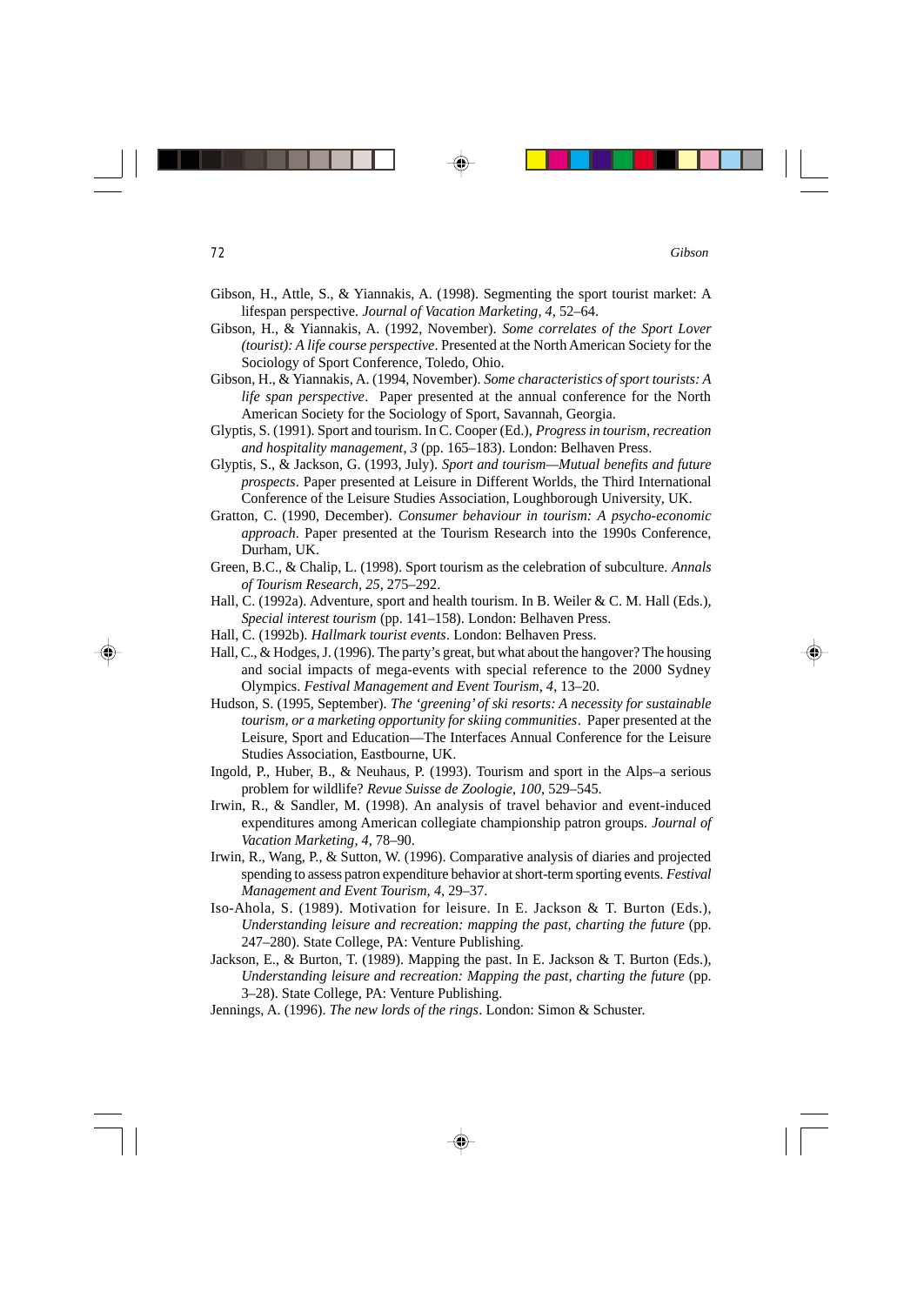- Gibson, H., Attle, S., & Yiannakis, A. (1998). Segmenting the sport tourist market: A lifespan perspective*. Journal of Vacation Marketing*, *4*, 52–64.
- Gibson, H., & Yiannakis, A. (1992, November). *Some correlates of the Sport Lover (tourist): A life course perspective*. Presented at the North American Society for the Sociology of Sport Conference, Toledo, Ohio.
- Gibson, H., & Yiannakis, A. (1994, November). *Some characteristics of sport tourists: A life span perspective*. Paper presented at the annual conference for the North American Society for the Sociology of Sport, Savannah, Georgia.
- Glyptis, S. (1991). Sport and tourism. In C. Cooper (Ed.), *Progress in tourism, recreation and hospitality management*, *3* (pp. 165–183). London: Belhaven Press.
- Glyptis, S., & Jackson, G. (1993, July). *Sport and tourism—Mutual benefits and future prospects*. Paper presented at Leisure in Different Worlds, the Third International Conference of the Leisure Studies Association, Loughborough University, UK.
- Gratton, C. (1990, December). *Consumer behaviour in tourism: A psycho-economic approach*. Paper presented at the Tourism Research into the 1990s Conference, Durham, UK.
- Green, B.C., & Chalip, L. (1998). Sport tourism as the celebration of subculture. *Annals of Tourism Research*, *25*, 275–292.
- Hall, C. (1992a). Adventure, sport and health tourism. In B. Weiler & C. M. Hall (Eds.), *Special interest tourism* (pp. 141–158). London: Belhaven Press.
- Hall, C. (1992b). *Hallmark tourist events*. London: Belhaven Press.
- Hall, C., & Hodges, J. (1996). The party's great, but what about the hangover? The housing and social impacts of mega-events with special reference to the 2000 Sydney Olympics. *Festival Management and Event Tourism*, *4*, 13–20.
- Hudson, S. (1995, September). *The 'greening' of ski resorts: A necessity for sustainable tourism, or a marketing opportunity for skiing communities*. Paper presented at the Leisure, Sport and Education—The Interfaces Annual Conference for the Leisure Studies Association, Eastbourne, UK.
- Ingold, P., Huber, B., & Neuhaus, P. (1993). Tourism and sport in the Alps–a serious problem for wildlife? *Revue Suisse de Zoologie*, *100*, 529–545.
- Irwin, R., & Sandler, M. (1998). An analysis of travel behavior and event-induced expenditures among American collegiate championship patron groups. *Journal of Vacation Marketing*, *4*, 78–90.
- Irwin, R., Wang, P., & Sutton, W. (1996). Comparative analysis of diaries and projected spending to assess patron expenditure behavior at short-term sporting events. *Festival Management and Event Tourism*, *4*, 29–37.
- Iso-Ahola, S. (1989). Motivation for leisure. In E. Jackson & T. Burton (Eds.), *Understanding leisure and recreation: mapping the past, charting the future* (pp. 247–280). State College, PA: Venture Publishing.
- Jackson, E., & Burton, T. (1989). Mapping the past. In E. Jackson & T. Burton (Eds.), *Understanding leisure and recreation: Mapping the past, charting the future* (pp. 3–28). State College, PA: Venture Publishing.
- Jennings, A. (1996). *The new lords of the rings*. London: Simon & Schuster.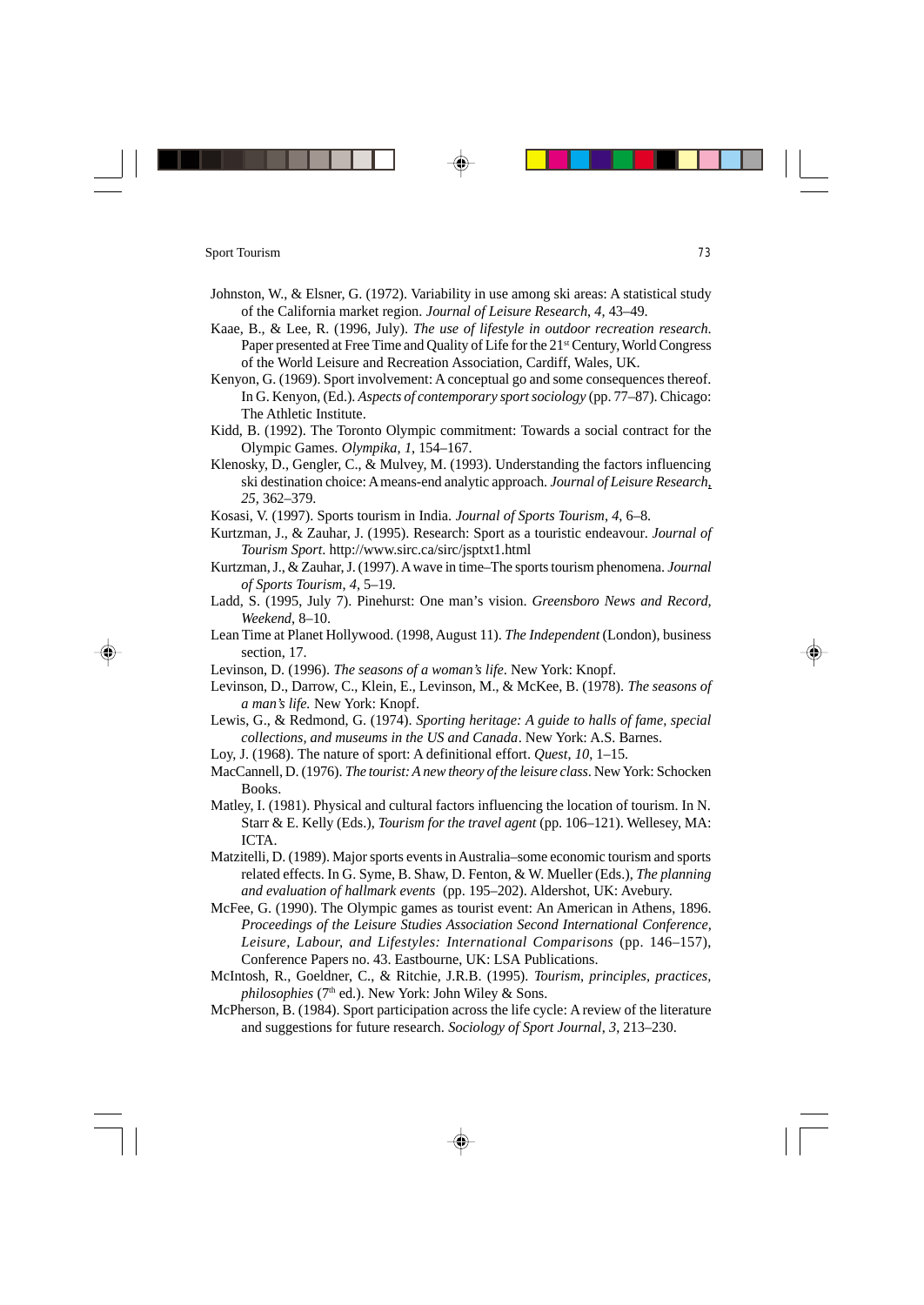- Johnston, W., & Elsner, G. (1972). Variability in use among ski areas: A statistical study of the California market region. *Journal of Leisure Research*, *4*, 43–49.
- Kaae, B., & Lee, R. (1996, July). *The use of lifestyle in outdoor recreation research*. Paper presented at Free Time and Quality of Life for the 21<sup>st</sup> Century, World Congress of the World Leisure and Recreation Association, Cardiff, Wales, UK.
- Kenyon, G. (1969). Sport involvement: A conceptual go and some consequences thereof. In G. Kenyon, (Ed.). *Aspects of contemporary sport sociology* (pp. 77–87). Chicago: The Athletic Institute.
- Kidd, B. (1992). The Toronto Olympic commitment: Towards a social contract for the Olympic Games. *Olympika*, *1*, 154–167.
- Klenosky, D., Gengler, C., & Mulvey, M. (1993). Understanding the factors influencing ski destination choice: A means-end analytic approach. *Journal of Leisure Research*, *25*, 362–379.
- Kosasi, V. (1997). Sports tourism in India. *Journal of Sports Tourism*, *4*, 6–8.
- Kurtzman, J., & Zauhar, J. (1995). Research: Sport as a touristic endeavour. *Journal of Tourism Sport*. http://www.sirc.ca/sirc/jsptxt1.html
- Kurtzman, J., & Zauhar, J. (1997). A wave in time–The sports tourism phenomena. *Journal of Sports Tourism*, *4*, 5–19.
- Ladd, S. (1995, July 7). Pinehurst: One man's vision. *Greensboro News and Record, Weekend*, 8–10.
- Lean Time at Planet Hollywood. (1998, August 11). *The Independent* (London), business section, 17.
- Levinson, D. (1996). *The seasons of a woman's life*. New York: Knopf.
- Levinson, D., Darrow, C., Klein, E., Levinson, M., & McKee, B. (1978). *The seasons of a man's life.* New York: Knopf.
- Lewis, G., & Redmond, G. (1974). *Sporting heritage: A guide to halls of fame, special collections, and museums in the US and Canada*. New York: A.S. Barnes.
- Loy, J. (1968). The nature of sport: A definitional effort. *Quest*, *10*, 1–15.
- MacCannell, D. (1976). *The tourist: A new theory of the leisure class*. New York: Schocken Books.
- Matley, I. (1981). Physical and cultural factors influencing the location of tourism. In N. Starr & E. Kelly (Eds.), *Tourism for the travel agent* (pp. 106–121). Wellesey, MA: ICTA.
- Matzitelli, D. (1989). Major sports events in Australia–some economic tourism and sports related effects. In G. Syme, B. Shaw, D. Fenton, & W. Mueller (Eds.), *The planning and evaluation of hallmark events* (pp. 195–202). Aldershot, UK: Avebury.
- McFee, G. (1990). The Olympic games as tourist event: An American in Athens, 1896. *Proceedings of the Leisure Studies Association Second International Conference, Leisure, Labour, and Lifestyles: International Comparisons* (pp. 146–157), Conference Papers no. 43. Eastbourne, UK: LSA Publications.
- McIntosh, R., Goeldner, C., & Ritchie, J.R.B. (1995). *Tourism, principles, practices, philosophies* (7th ed.). New York: John Wiley & Sons.
- McPherson, B. (1984). Sport participation across the life cycle: A review of the literature and suggestions for future research. *Sociology of Sport Journal*, *3*, 213–230.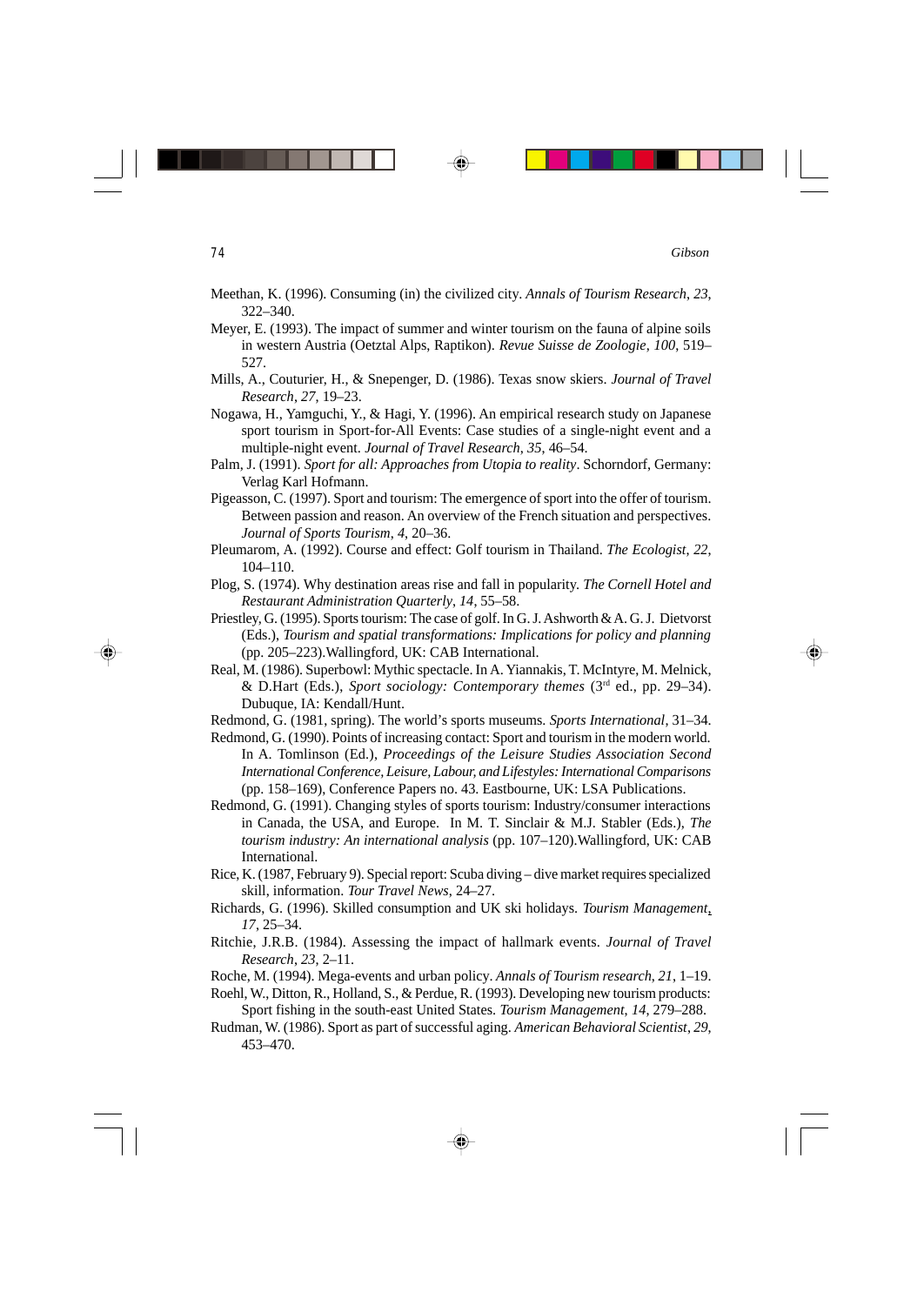- Meethan, K. (1996). Consuming (in) the civilized city. *Annals of Tourism Research*, *23*, 322–340.
- Meyer, E. (1993). The impact of summer and winter tourism on the fauna of alpine soils in western Austria (Oetztal Alps, Raptikon). *Revue Suisse de Zoologie*, *100*, 519– 527.
- Mills, A., Couturier, H., & Snepenger, D. (1986). Texas snow skiers. *Journal of Travel Research*, *27*, 19–23.
- Nogawa, H., Yamguchi, Y., & Hagi, Y. (1996). An empirical research study on Japanese sport tourism in Sport-for-All Events: Case studies of a single-night event and a multiple-night event. *Journal of Travel Research*, *35*, 46–54.
- Palm, J. (1991). *Sport for all: Approaches from Utopia to reality*. Schorndorf, Germany: Verlag Karl Hofmann.
- Pigeasson, C. (1997). Sport and tourism: The emergence of sport into the offer of tourism. Between passion and reason. An overview of the French situation and perspectives. *Journal of Sports Tourism*, *4*, 20–36.
- Pleumarom, A. (1992). Course and effect: Golf tourism in Thailand. *The Ecologist*, *22*, 104–110.
- Plog, S. (1974). Why destination areas rise and fall in popularity. *The Cornell Hotel and Restaurant Administration Quarterly*, *14*, 55–58.
- Priestley, G. (1995). Sports tourism: The case of golf. In G. J. Ashworth & A. G. J. Dietvorst (Eds.), *Tourism and spatial transformations: Implications for policy and planning* (pp. 205–223).Wallingford, UK: CAB International.
- Real, M. (1986). Superbowl: Mythic spectacle. In A. Yiannakis, T. McIntyre, M. Melnick, & D.Hart (Eds.), *Sport sociology: Contemporary themes* (3rd ed., pp. 29–34). Dubuque, IA: Kendall/Hunt.
- Redmond, G. (1981, spring). The world's sports museums. *Sports International*, 31–34.
- Redmond, G. (1990). Points of increasing contact: Sport and tourism in the modern world. In A. Tomlinson (Ed.), *Proceedings of the Leisure Studies Association Second International Conference, Leisure, Labour, and Lifestyles: International Comparisons* (pp. 158–169), Conference Papers no. 43. Eastbourne, UK: LSA Publications.
- Redmond, G. (1991). Changing styles of sports tourism: Industry/consumer interactions in Canada, the USA, and Europe. In M. T. Sinclair & M.J. Stabler (Eds.), *The tourism industry: An international analysis* (pp. 107–120).Wallingford, UK: CAB International.
- Rice, K. (1987, February 9). Special report: Scuba diving dive market requires specialized skill, information. *Tour Travel News*, 24–27.
- Richards, G. (1996). Skilled consumption and UK ski holidays. *Tourism Management*, *17*, 25–34.
- Ritchie, J.R.B. (1984). Assessing the impact of hallmark events. *Journal of Travel Research*, *23*, 2–11.
- Roche, M. (1994). Mega-events and urban policy. *Annals of Tourism research*, *21*, 1–19.
- Roehl, W., Ditton, R., Holland, S., & Perdue, R. (1993). Developing new tourism products: Sport fishing in the south-east United States. *Tourism Management*, *14*, 279–288.
- Rudman, W. (1986). Sport as part of successful aging. *American Behavioral Scientist*, *29*, 453–470.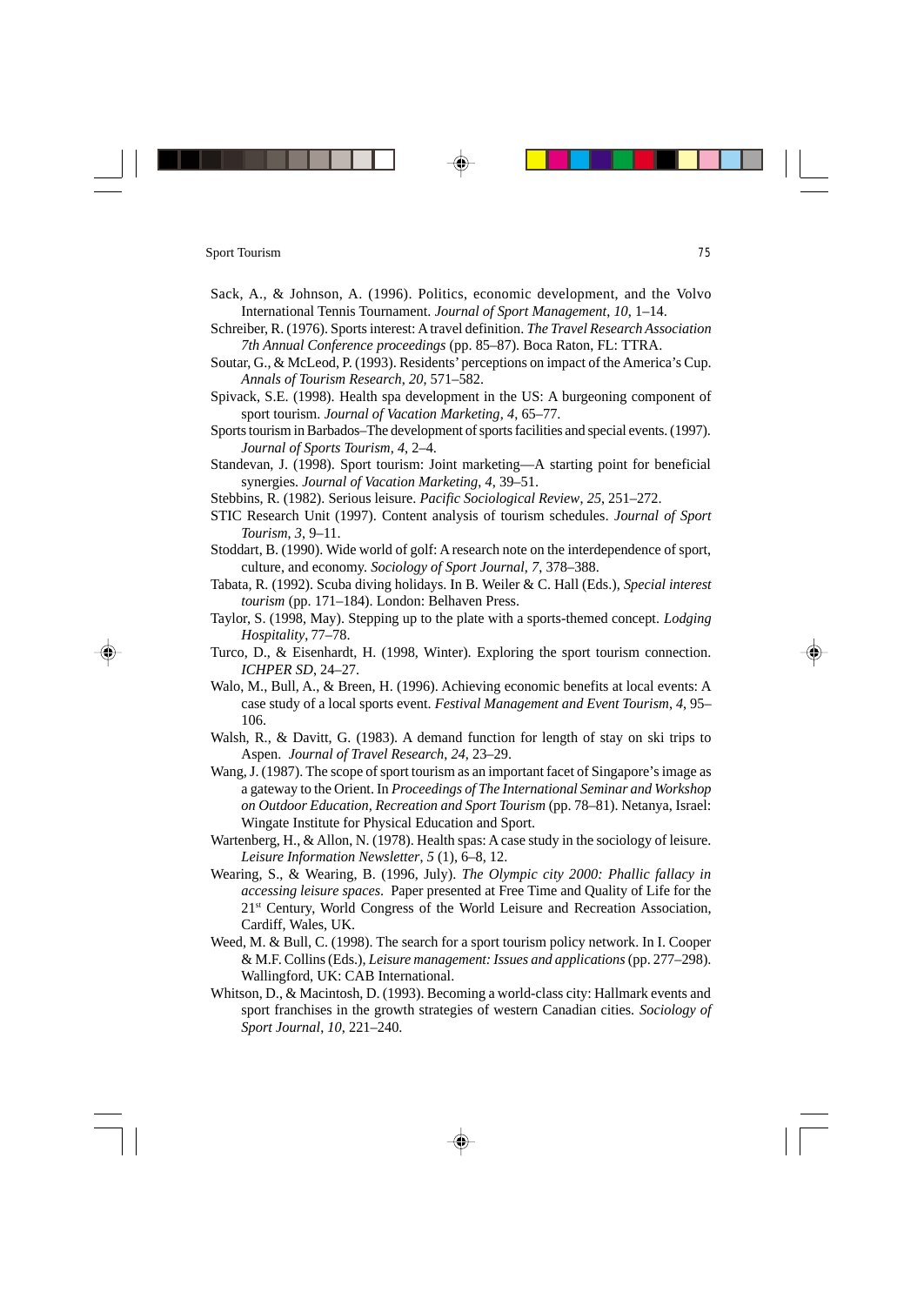- Sack, A., & Johnson, A. (1996). Politics, economic development, and the Volvo International Tennis Tournament. *Journal of Sport Management*, *10*, 1–14.
- Schreiber, R. (1976). Sports interest: A travel definition. *The Travel Research Association 7th Annual Conference proceedings* (pp. 85–87). Boca Raton, FL: TTRA.
- Soutar, G., & McLeod, P. (1993). Residents' perceptions on impact of the America's Cup. *Annals of Tourism Research*, *20*, 571–582.
- Spivack, S.E. (1998). Health spa development in the US: A burgeoning component of sport tourism. *Journal of Vacation Marketing*, *4*, 65–77.
- Sports tourism in Barbados–The development of sports facilities and special events. (1997). *Journal of Sports Tourism*, *4*, 2–4.
- Standevan, J. (1998). Sport tourism: Joint marketing—A starting point for beneficial synergies. *Journal of Vacation Marketing*, *4*, 39–51.
- Stebbins, R. (1982). Serious leisure. *Pacific Sociological Review*, *25*, 251–272.
- STIC Research Unit (1997). Content analysis of tourism schedules*. Journal of Sport Tourism*, *3*, 9–11.
- Stoddart, B. (1990). Wide world of golf: A research note on the interdependence of sport, culture, and economy. *Sociology of Sport Journal*, *7*, 378–388.
- Tabata, R. (1992). Scuba diving holidays. In B. Weiler & C. Hall (Eds.), *Special interest tourism* (pp. 171–184). London: Belhaven Press.
- Taylor, S. (1998, May). Stepping up to the plate with a sports-themed concept. *Lodging Hospitality*, 77–78.
- Turco, D., & Eisenhardt, H. (1998, Winter). Exploring the sport tourism connection. *ICHPER SD*, 24–27.
- Walo, M., Bull, A., & Breen, H. (1996). Achieving economic benefits at local events: A case study of a local sports event. *Festival Management and Event Tourism*, *4*, 95– 106.
- Walsh, R., & Davitt, G. (1983). A demand function for length of stay on ski trips to Aspen. *Journal of Travel Research*, *24*, 23–29.
- Wang, J. (1987). The scope of sport tourism as an important facet of Singapore's image as a gateway to the Orient. In *Proceedings of The International Seminar and Workshop on Outdoor Education, Recreation and Sport Tourism* (pp. 78–81). Netanya, Israel: Wingate Institute for Physical Education and Sport.
- Wartenberg, H., & Allon, N. (1978). Health spas: A case study in the sociology of leisure. *Leisure Information Newsletter*, *5* (1), 6–8, 12.
- Wearing, S., & Wearing, B. (1996, July). *The Olympic city 2000: Phallic fallacy in accessing leisure spaces*. Paper presented at Free Time and Quality of Life for the 21<sup>st</sup> Century, World Congress of the World Leisure and Recreation Association, Cardiff, Wales, UK.
- Weed, M. & Bull, C. (1998). The search for a sport tourism policy network. In I. Cooper & M.F. Collins (Eds.), *Leisure management: Issues and applications* (pp. 277–298). Wallingford, UK: CAB International.
- Whitson, D., & Macintosh, D. (1993). Becoming a world-class city: Hallmark events and sport franchises in the growth strategies of western Canadian cities. *Sociology of Sport Journal*, *10*, 221–240.